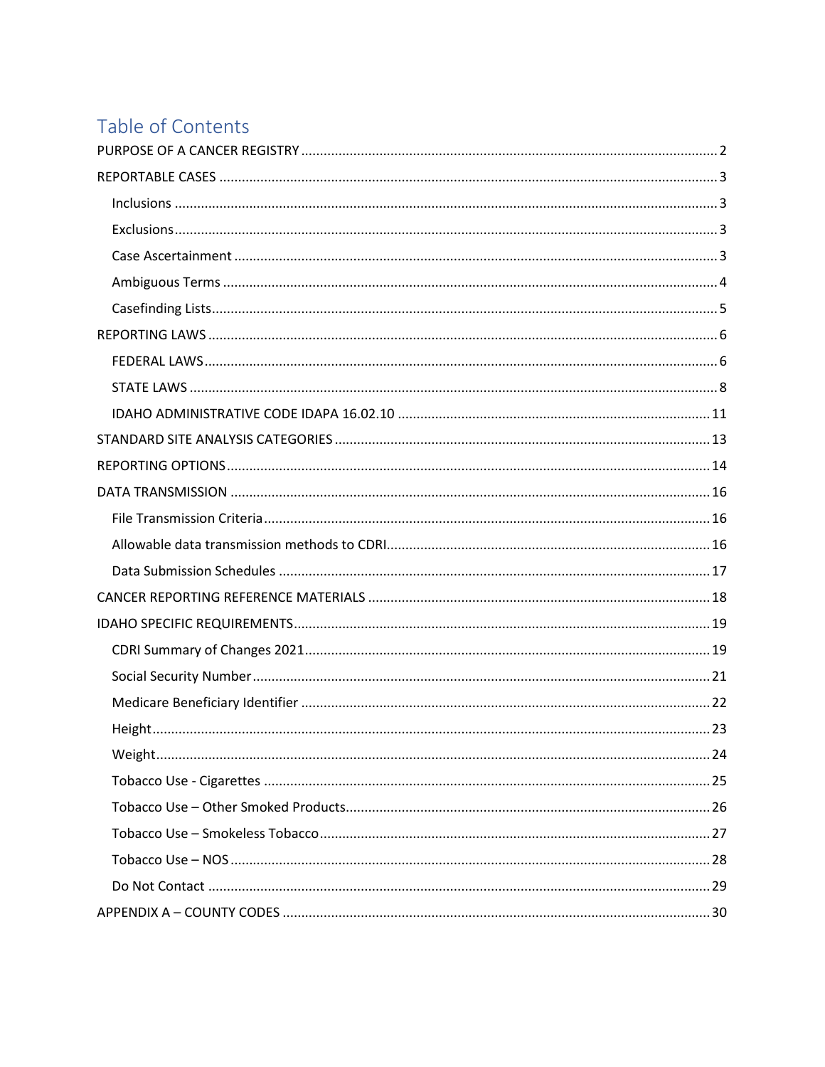# Table of Contents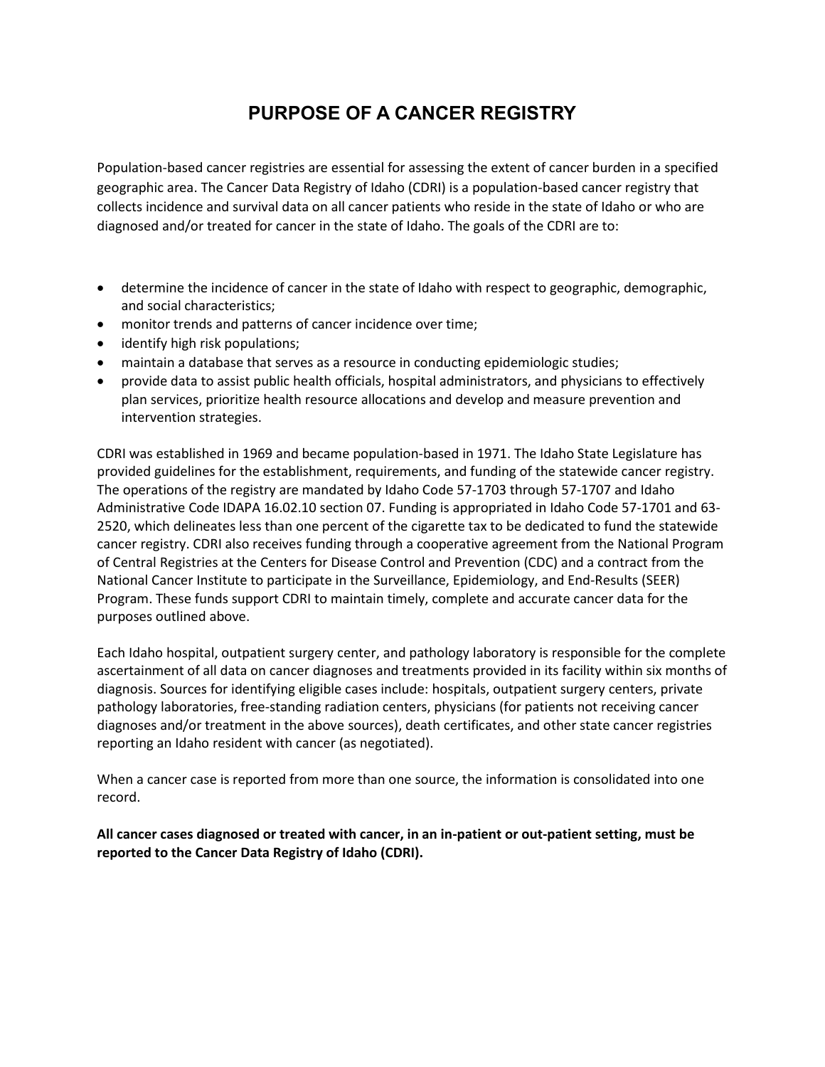# **PURPOSE OF A CANCER REGISTRY**

<span id="page-1-0"></span>Population-based cancer registries are essential for assessing the extent of cancer burden in a specified geographic area. The Cancer Data Registry of Idaho (CDRI) is a population-based cancer registry that collects incidence and survival data on all cancer patients who reside in the state of Idaho or who are diagnosed and/or treated for cancer in the state of Idaho. The goals of the CDRI are to:

- determine the incidence of cancer in the state of Idaho with respect to geographic, demographic, and social characteristics;
- monitor trends and patterns of cancer incidence over time;
- identify high risk populations;
- maintain a database that serves as a resource in conducting epidemiologic studies;
- provide data to assist public health officials, hospital administrators, and physicians to effectively plan services, prioritize health resource allocations and develop and measure prevention and intervention strategies.

CDRI was established in 1969 and became population-based in 1971. The Idaho State Legislature has provided guidelines for the establishment, requirements, and funding of the statewide cancer registry. The operations of the registry are mandated by Idaho Code 57-1703 through 57-1707 and Idaho Administrative Code IDAPA 16.02.10 section 07. Funding is appropriated in Idaho Code 57-1701 and 63- 2520, which delineates less than one percent of the cigarette tax to be dedicated to fund the statewide cancer registry. CDRI also receives funding through a cooperative agreement from the National Program of Central Registries at the Centers for Disease Control and Prevention (CDC) and a contract from the National Cancer Institute to participate in the Surveillance, Epidemiology, and End-Results (SEER) Program. These funds support CDRI to maintain timely, complete and accurate cancer data for the purposes outlined above.

Each Idaho hospital, outpatient surgery center, and pathology laboratory is responsible for the complete ascertainment of all data on cancer diagnoses and treatments provided in its facility within six months of diagnosis. Sources for identifying eligible cases include: hospitals, outpatient surgery centers, private pathology laboratories, free-standing radiation centers, physicians (for patients not receiving cancer diagnoses and/or treatment in the above sources), death certificates, and other state cancer registries reporting an Idaho resident with cancer (as negotiated).

When a cancer case is reported from more than one source, the information is consolidated into one record.

**All cancer cases diagnosed or treated with cancer, in an in-patient or out-patient setting, must be reported to the Cancer Data Registry of Idaho (CDRI).**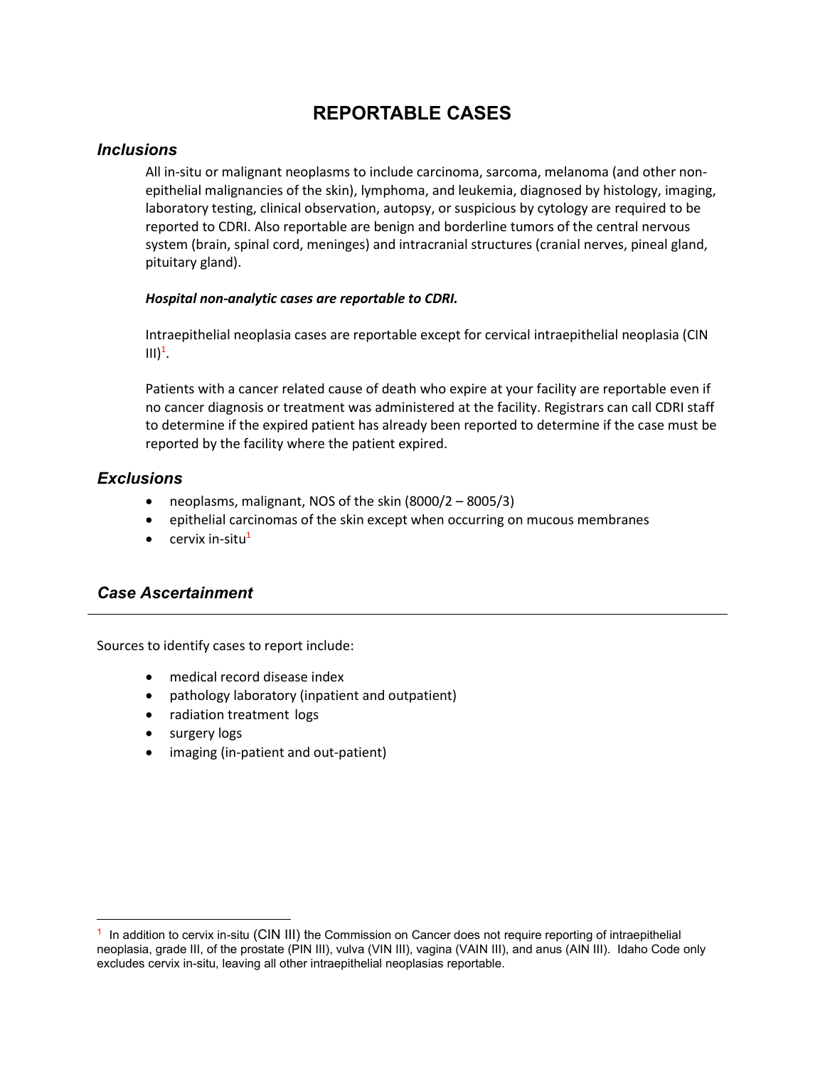# **REPORTABLE CASES**

### <span id="page-2-1"></span><span id="page-2-0"></span>*Inclusions*

All in-situ or malignant neoplasms to include carcinoma, sarcoma, melanoma (and other nonepithelial malignancies of the skin), lymphoma, and leukemia, diagnosed by histology, imaging, laboratory testing, clinical observation, autopsy, or suspicious by cytology are required to be reported to CDRI. Also reportable are benign and borderline tumors of the central nervous system (brain, spinal cord, meninges) and intracranial structures (cranial nerves, pineal gland, pituitary gland).

#### *Hospital non-analytic cases are reportable to CDRI.*

Intraepithelial neoplasia cases are reportable except for cervical intraepithelial neoplasia (CIN  $III)^1$ .

Patients with a cancer related cause of death who expire at your facility are reportable even if no cancer diagnosis or treatment was administered at the facility. Registrars can call CDRI staff to determine if the expired patient has already been reported to determine if the case must be reported by the facility where the patient expired.

### <span id="page-2-2"></span>*Exclusions*

- neoplasms, malignant, NOS of the skin (8000/2 8005/3)
- epithelial carcinomas of the skin except when occurring on mucous membranes
- cervix in-situ $<sup>1</sup>$ </sup>

### <span id="page-2-3"></span>*Case Ascertainment*

Sources to identify cases to report include:

- medical record disease index
- pathology laboratory (inpatient and outpatient)
- radiation treatment logs
- surgery logs
- imaging (in-patient and out-patient)

<sup>1</sup> In addition to cervix in-situ (CIN III) the Commission on Cancer does not require reporting of intraepithelial neoplasia, grade III, of the prostate (PIN III), vulva (VIN III), vagina (VAIN III), and anus (AIN III). Idaho Code only excludes cervix in-situ, leaving all other intraepithelial neoplasias reportable.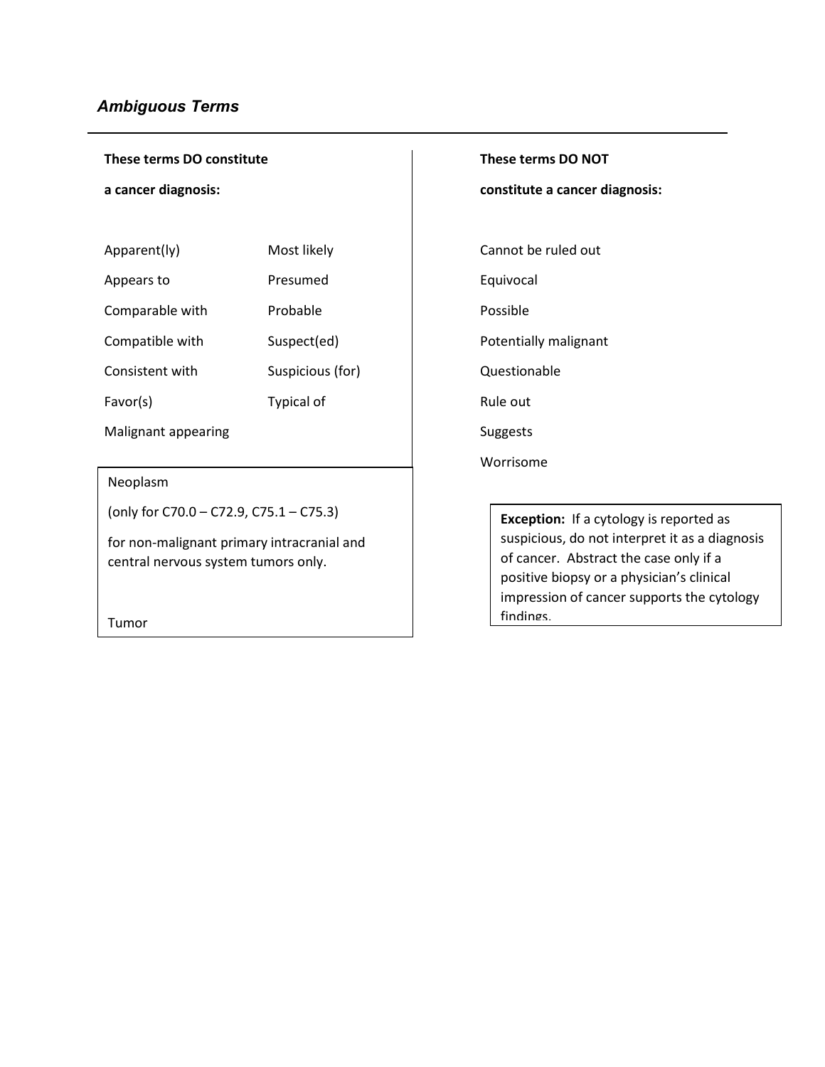### <span id="page-3-0"></span>*Ambiguous Terms*

**These terms DO constitute** 

**a cancer diagnosis:**

| Apparent(ly)    | Most likely       | Cannot I |
|-----------------|-------------------|----------|
| Appears to      | Presumed          | Equivoca |
| Comparable with | Probable          | Possible |
| Compatible with | Suspect(ed)       | Potentia |
| Consistent with | Suspicious (for)  | Questio  |
| Favor(s)        | <b>Typical of</b> | Rule out |

Malignant appearing and subsets of the Suggests

Neoplasm

(only for C70.0 – C72.9, C75.1 – C75.3)

for non-malignant primary intracranial and central nervous system tumors only.

Tumor

**These terms DO NOT** 

**constitute a cancer diagnosis:**

Cannot be ruled out

Equivocal

Potentially malignant

Questionable

Rule out

Worrisome

**Exception:** If a cytology is reported as suspicious, do not interpret it as a diagnosis of cancer. Abstract the case only if a positive biopsy or a physician's clinical impression of cancer supports the cytology findings.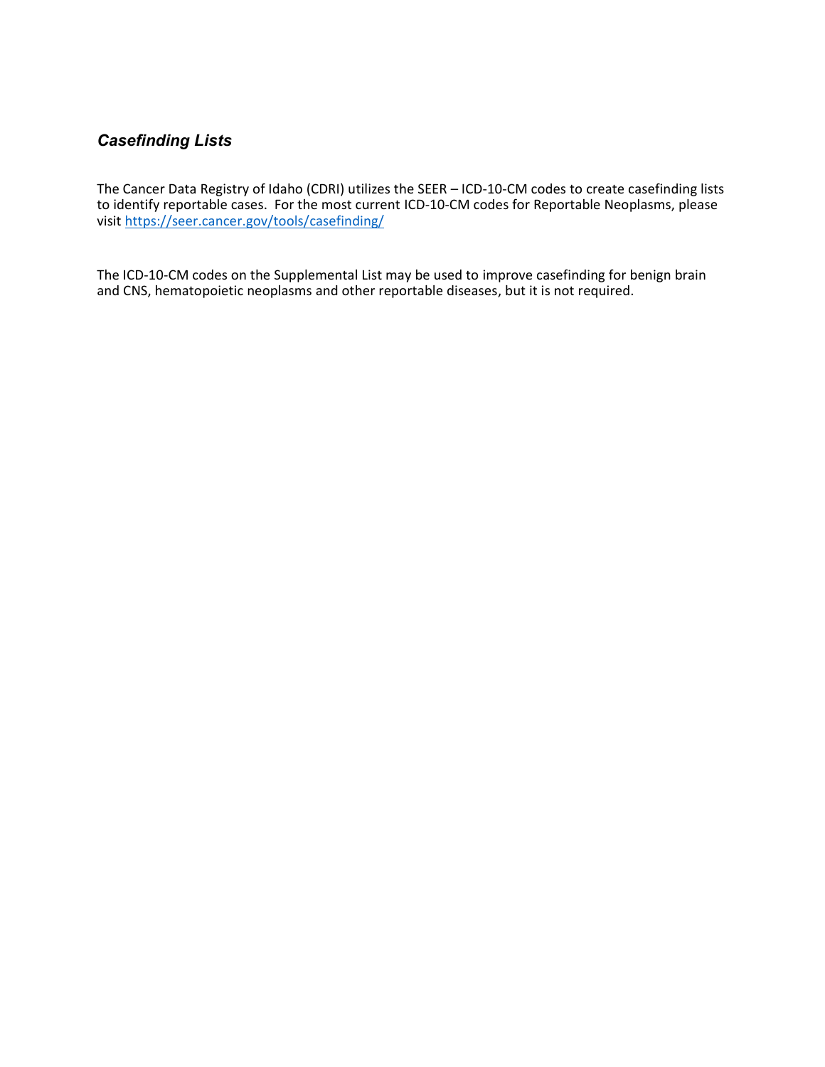### <span id="page-4-0"></span>*Casefinding Lists*

The Cancer Data Registry of Idaho (CDRI) utilizes the SEER – ICD-10-CM codes to create casefinding lists to identify reportable cases. For the most current ICD-10-CM codes for Reportable Neoplasms, please visit <https://seer.cancer.gov/tools/casefinding/>

The ICD-10-CM codes on the Supplemental List may be used to improve casefinding for benign brain and CNS, hematopoietic neoplasms and other reportable diseases, but it is not required.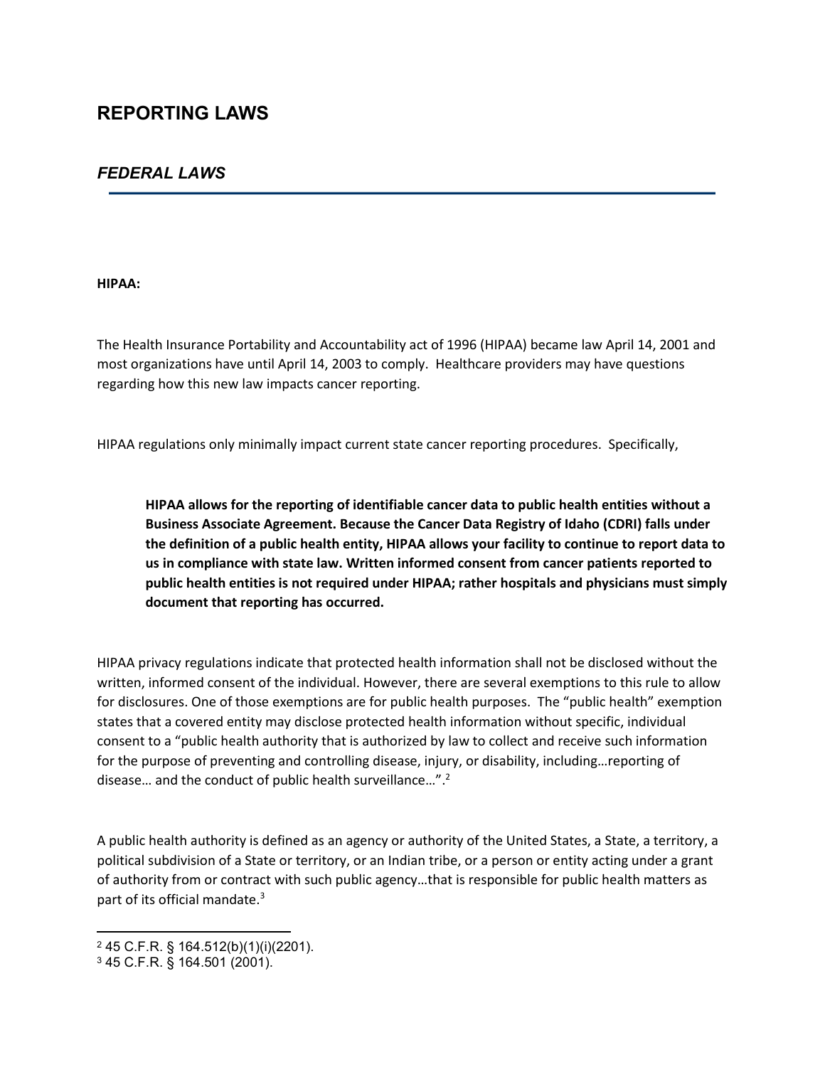# <span id="page-5-0"></span>**REPORTING LAWS**

### <span id="page-5-1"></span>*FEDERAL LAWS*

#### **HIPAA:**

The Health Insurance Portability and Accountability act of 1996 (HIPAA) became law April 14, 2001 and most organizations have until April 14, 2003 to comply. Healthcare providers may have questions regarding how this new law impacts cancer reporting.

HIPAA regulations only minimally impact current state cancer reporting procedures. Specifically,

**HIPAA allows for the reporting of identifiable cancer data to public health entities without a Business Associate Agreement. Because the Cancer Data Registry of Idaho (CDRI) falls under the definition of a public health entity, HIPAA allows your facility to continue to report data to us in compliance with state law. Written informed consent from cancer patients reported to public health entities is not required under HIPAA; rather hospitals and physicians must simply document that reporting has occurred.** 

HIPAA privacy regulations indicate that protected health information shall not be disclosed without the written, informed consent of the individual. However, there are several exemptions to this rule to allow for disclosures. One of those exemptions are for public health purposes. The "public health" exemption states that a covered entity may disclose protected health information without specific, individual consent to a "public health authority that is authorized by law to collect and receive such information for the purpose of preventing and controlling disease, injury, or disability, including…reporting of disease… and the conduct of public health surveillance…".<sup>2</sup>

A public health authority is defined as an agency or authority of the United States, a State, a territory, a political subdivision of a State or territory, or an Indian tribe, or a person or entity acting under a grant of authority from or contract with such public agency…that is responsible for public health matters as part of its official mandate.<sup>3</sup>

<sup>2</sup> 45 C.F.R. § 164.512(b)(1)(i)(2201).

<sup>3</sup> 45 C.F.R. § 164.501 (2001).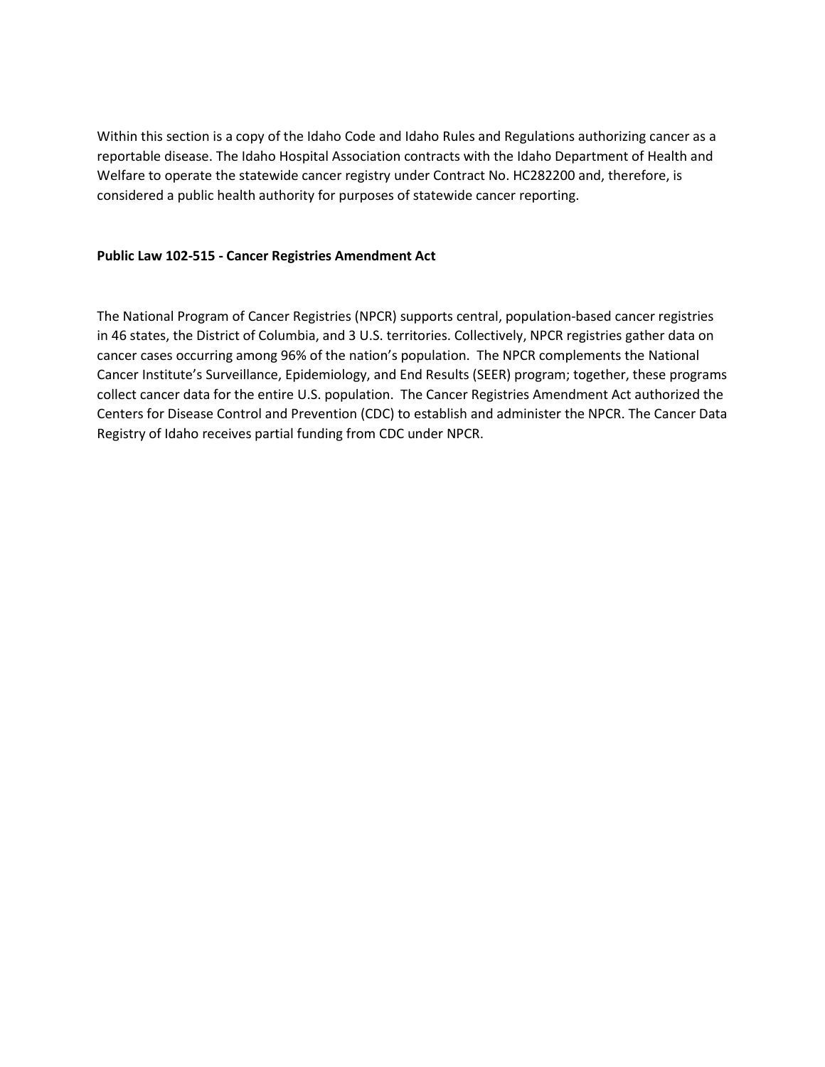Within this section is a copy of the Idaho Code and Idaho Rules and Regulations authorizing cancer as a reportable disease. The Idaho Hospital Association contracts with the Idaho Department of Health and Welfare to operate the statewide cancer registry under Contract No. HC282200 and, therefore, is considered a public health authority for purposes of statewide cancer reporting.

#### **Public Law 102-515 - Cancer Registries Amendment Act**

The National Program of Cancer Registries (NPCR) supports central, population-based cancer registries in 46 states, the District of Columbia, and 3 U.S. territories. Collectively, NPCR registries gather data on cancer cases occurring among 96% of the nation's population. The NPCR complements the National Cancer Institute's Surveillance, Epidemiology, and End Results (SEER) program; together, these programs collect cancer data for the entire U.S. population. The Cancer Registries Amendment Act authorized the Centers for Disease Control and Prevention (CDC) to establish and administer the NPCR. The Cancer Data Registry of Idaho receives partial funding from CDC under NPCR.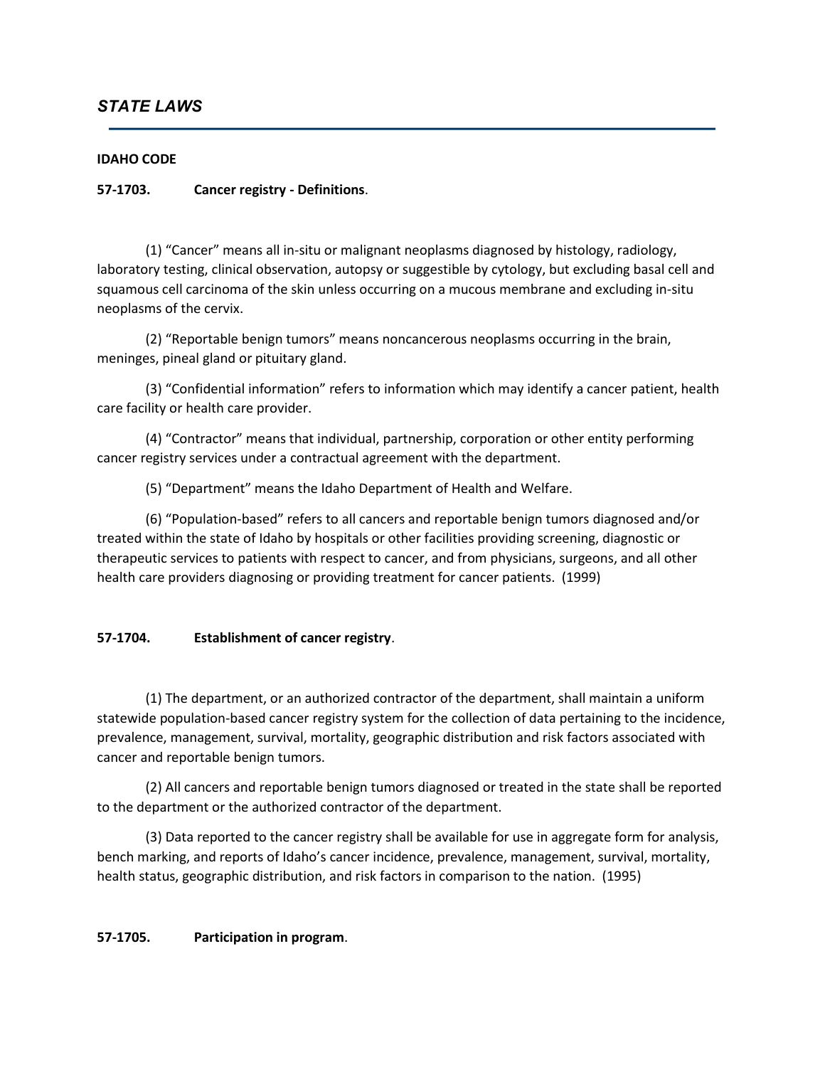### <span id="page-7-0"></span>*STATE LAWS*

#### **IDAHO CODE**

#### **57-1703. Cancer registry - Definitions**.

(1) "Cancer" means all in-situ or malignant neoplasms diagnosed by histology, radiology, laboratory testing, clinical observation, autopsy or suggestible by cytology, but excluding basal cell and squamous cell carcinoma of the skin unless occurring on a mucous membrane and excluding in-situ neoplasms of the cervix.

(2) "Reportable benign tumors" means noncancerous neoplasms occurring in the brain, meninges, pineal gland or pituitary gland.

(3) "Confidential information" refers to information which may identify a cancer patient, health care facility or health care provider.

(4) "Contractor" means that individual, partnership, corporation or other entity performing cancer registry services under a contractual agreement with the department.

(5) "Department" means the Idaho Department of Health and Welfare.

(6) "Population-based" refers to all cancers and reportable benign tumors diagnosed and/or treated within the state of Idaho by hospitals or other facilities providing screening, diagnostic or therapeutic services to patients with respect to cancer, and from physicians, surgeons, and all other health care providers diagnosing or providing treatment for cancer patients. (1999)

#### **57-1704. Establishment of cancer registry**.

(1) The department, or an authorized contractor of the department, shall maintain a uniform statewide population-based cancer registry system for the collection of data pertaining to the incidence, prevalence, management, survival, mortality, geographic distribution and risk factors associated with cancer and reportable benign tumors.

(2) All cancers and reportable benign tumors diagnosed or treated in the state shall be reported to the department or the authorized contractor of the department.

(3) Data reported to the cancer registry shall be available for use in aggregate form for analysis, bench marking, and reports of Idaho's cancer incidence, prevalence, management, survival, mortality, health status, geographic distribution, and risk factors in comparison to the nation. (1995)

#### **57-1705. Participation in program**.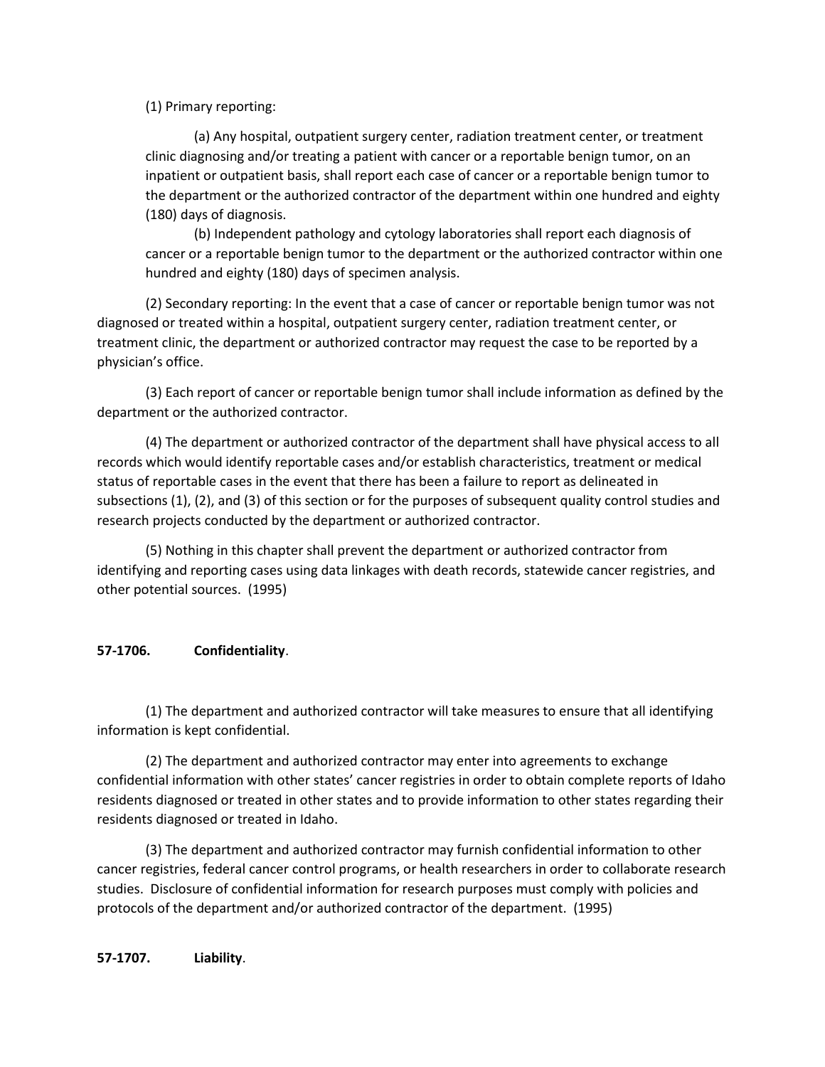(1) Primary reporting:

(a) Any hospital, outpatient surgery center, radiation treatment center, or treatment clinic diagnosing and/or treating a patient with cancer or a reportable benign tumor, on an inpatient or outpatient basis, shall report each case of cancer or a reportable benign tumor to the department or the authorized contractor of the department within one hundred and eighty (180) days of diagnosis.

(b) Independent pathology and cytology laboratories shall report each diagnosis of cancer or a reportable benign tumor to the department or the authorized contractor within one hundred and eighty (180) days of specimen analysis.

(2) Secondary reporting: In the event that a case of cancer or reportable benign tumor was not diagnosed or treated within a hospital, outpatient surgery center, radiation treatment center, or treatment clinic, the department or authorized contractor may request the case to be reported by a physician's office.

(3) Each report of cancer or reportable benign tumor shall include information as defined by the department or the authorized contractor.

(4) The department or authorized contractor of the department shall have physical access to all records which would identify reportable cases and/or establish characteristics, treatment or medical status of reportable cases in the event that there has been a failure to report as delineated in subsections (1), (2), and (3) of this section or for the purposes of subsequent quality control studies and research projects conducted by the department or authorized contractor.

(5) Nothing in this chapter shall prevent the department or authorized contractor from identifying and reporting cases using data linkages with death records, statewide cancer registries, and other potential sources. (1995)

### **57-1706. Confidentiality**.

(1) The department and authorized contractor will take measures to ensure that all identifying information is kept confidential.

(2) The department and authorized contractor may enter into agreements to exchange confidential information with other states' cancer registries in order to obtain complete reports of Idaho residents diagnosed or treated in other states and to provide information to other states regarding their residents diagnosed or treated in Idaho.

(3) The department and authorized contractor may furnish confidential information to other cancer registries, federal cancer control programs, or health researchers in order to collaborate research studies. Disclosure of confidential information for research purposes must comply with policies and protocols of the department and/or authorized contractor of the department. (1995)

**57-1707. Liability**.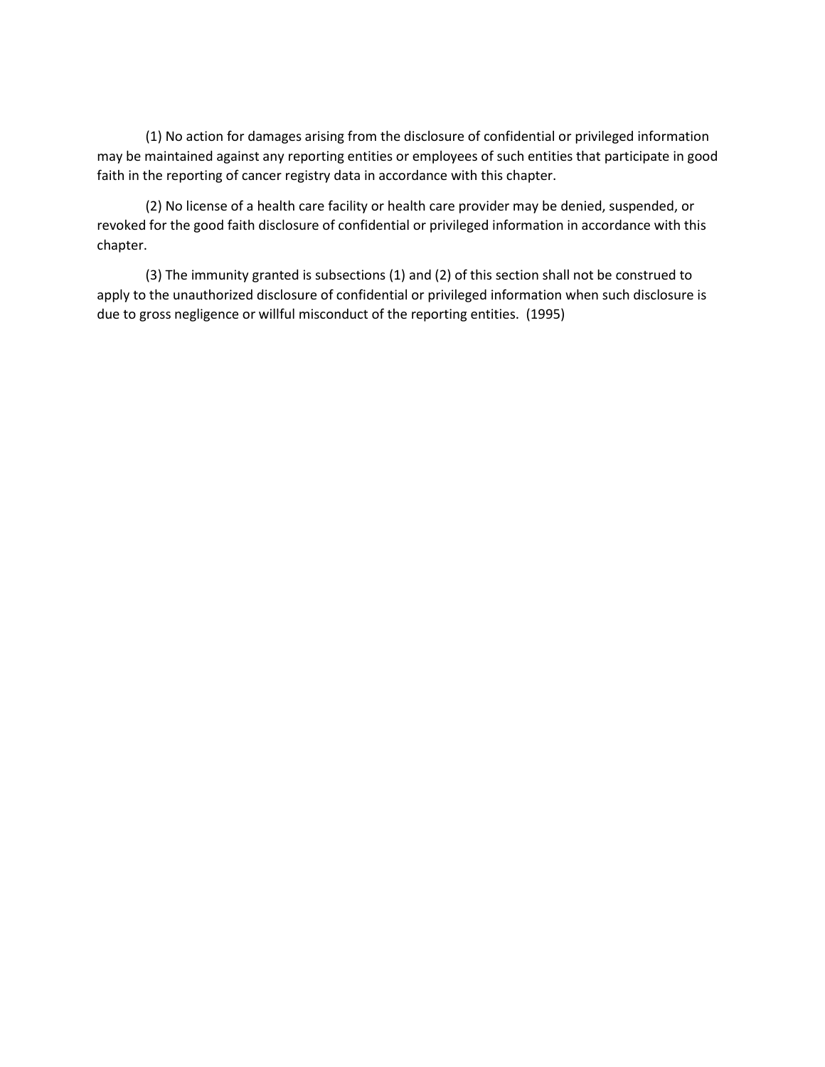(1) No action for damages arising from the disclosure of confidential or privileged information may be maintained against any reporting entities or employees of such entities that participate in good faith in the reporting of cancer registry data in accordance with this chapter.

(2) No license of a health care facility or health care provider may be denied, suspended, or revoked for the good faith disclosure of confidential or privileged information in accordance with this chapter.

(3) The immunity granted is subsections (1) and (2) of this section shall not be construed to apply to the unauthorized disclosure of confidential or privileged information when such disclosure is due to gross negligence or willful misconduct of the reporting entities. (1995)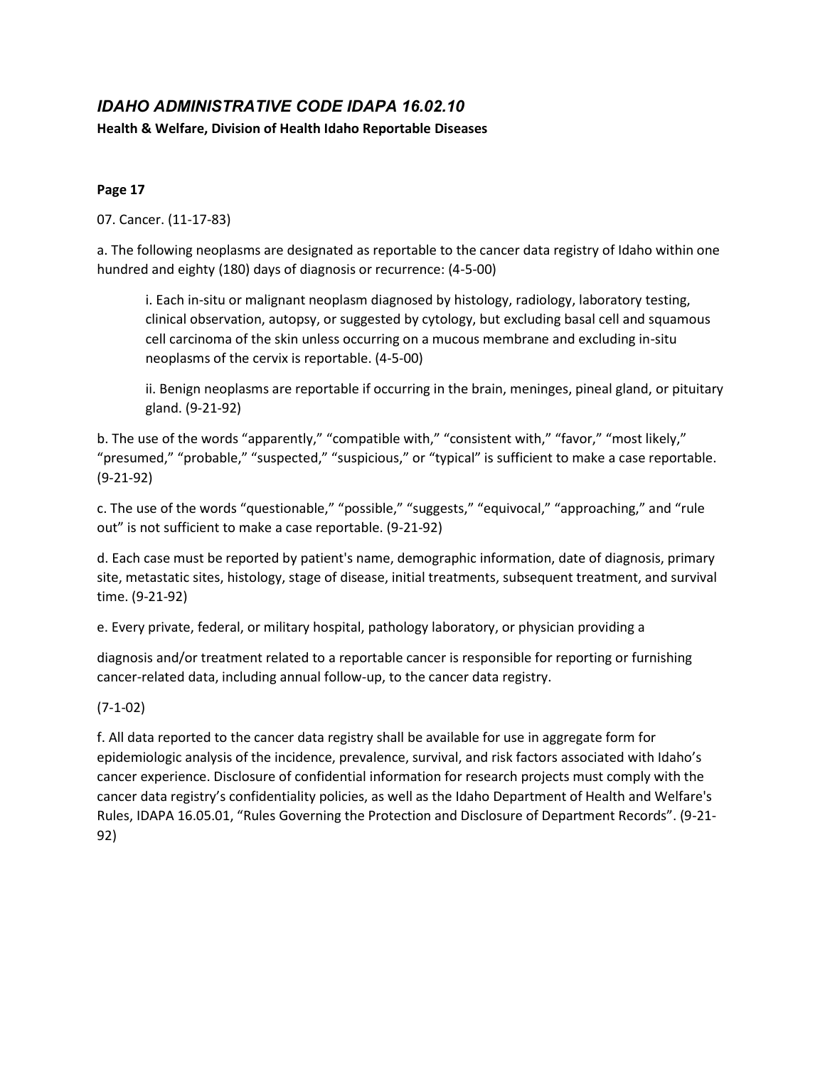# <span id="page-10-0"></span>*IDAHO ADMINISTRATIVE CODE IDAPA 16.02.10*

**Health & Welfare, Division of Health Idaho Reportable Diseases**

### **Page 17**

07. Cancer. (11-17-83)

a. The following neoplasms are designated as reportable to the cancer data registry of Idaho within one hundred and eighty (180) days of diagnosis or recurrence: (4-5-00)

i. Each in-situ or malignant neoplasm diagnosed by histology, radiology, laboratory testing, clinical observation, autopsy, or suggested by cytology, but excluding basal cell and squamous cell carcinoma of the skin unless occurring on a mucous membrane and excluding in-situ neoplasms of the cervix is reportable. (4-5-00)

ii. Benign neoplasms are reportable if occurring in the brain, meninges, pineal gland, or pituitary gland. (9-21-92)

b. The use of the words "apparently," "compatible with," "consistent with," "favor," "most likely," "presumed," "probable," "suspected," "suspicious," or "typical" is sufficient to make a case reportable. (9-21-92)

c. The use of the words "questionable," "possible," "suggests," "equivocal," "approaching," and "rule out" is not sufficient to make a case reportable. (9-21-92)

d. Each case must be reported by patient's name, demographic information, date of diagnosis, primary site, metastatic sites, histology, stage of disease, initial treatments, subsequent treatment, and survival time. (9-21-92)

e. Every private, federal, or military hospital, pathology laboratory, or physician providing a

diagnosis and/or treatment related to a reportable cancer is responsible for reporting or furnishing cancer-related data, including annual follow-up, to the cancer data registry.

(7-1-02)

f. All data reported to the cancer data registry shall be available for use in aggregate form for epidemiologic analysis of the incidence, prevalence, survival, and risk factors associated with Idaho's cancer experience. Disclosure of confidential information for research projects must comply with the cancer data registry's confidentiality policies, as well as the Idaho Department of Health and Welfare's Rules, IDAPA 16.05.01, "Rules Governing the Protection and Disclosure of Department Records". (9-21- 92)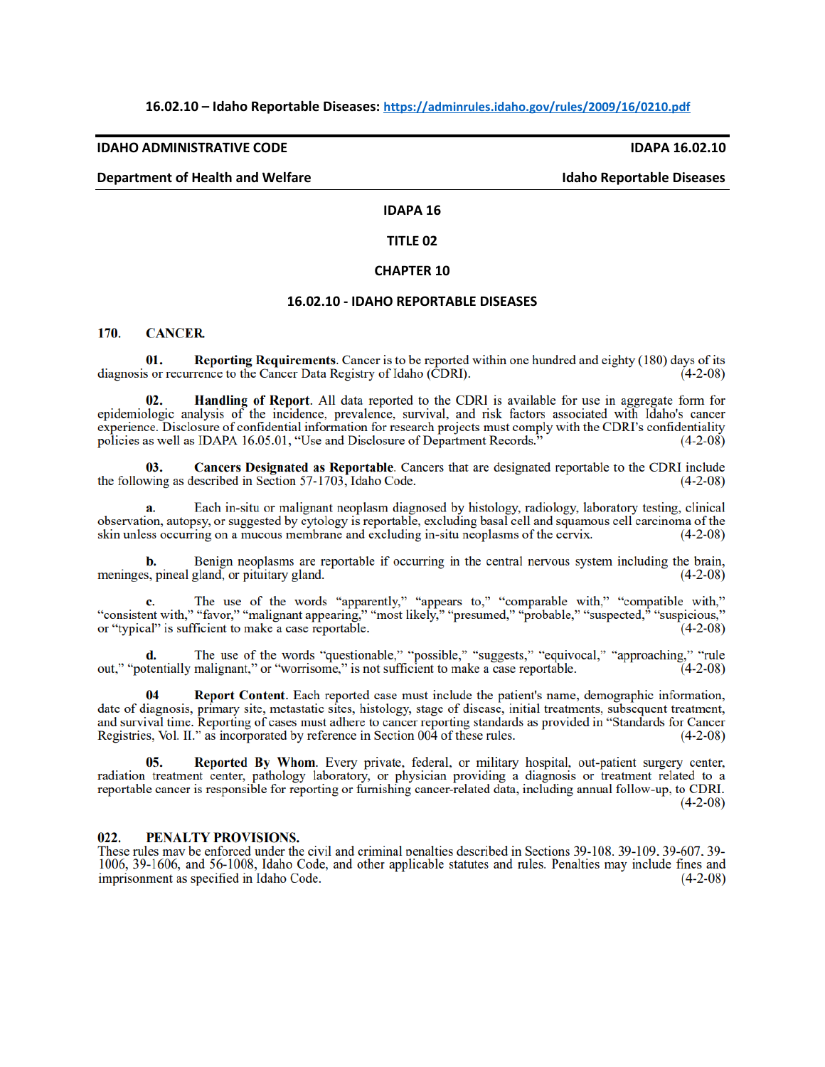#### **16.02.10 – Idaho Reportable Diseases: <https://adminrules.idaho.gov/rules/2009/16/0210.pdf>**

#### **IDAHO ADMINISTRATIVE CODE IDAPA 16.02.10**

#### **Department of Health and Welfare Idaho Reportable Diseases Additionally reportable Diseases**

#### **IDAPA 16**

#### **TITLE 02**

#### **CHAPTER 10**

#### **16.02.10 - IDAHO REPORTABLE DISEASES**

#### 170. **CANCER**

**Reporting Requirements.** Cancer is to be reported within one hundred and eighty (180) days of its 01. diagnosis or recurrence to the Cancer Data Registry of Idaho (CDRI).  $(4-2-08)$ 

Handling of Report. All data reported to the CDRI is available for use in aggregate form for  $02.$ epidemiologic analysis of the incidence, prevalence, survival, and risk factors associated with Idaho's cancer experience. Disclosure of confidential information for research projects must comply with the CDRI's confidentiality policies as well as IDAPA 16.05.01, "Use and Disclosure of Department Records.  $(4-2-08)$ 

Cancers Designated as Reportable. Cancers that are designated reportable to the CDRI include  $03.$ the following as described in Section 57-1703, Idaho Code.  $(4-2-08)$ 

Each in-situ or malignant neoplasm diagnosed by histology, radiology, laboratory testing, clinical observation, autopsy, or suggested by cytology is reportable, excluding basal cell and squamous cell carcinoma of the skin unless occurring on a mucous membrane and excluding in-situ neoplasms of the cervix.  $(4-2-08)$ 

Benign neoplasms are reportable if occurring in the central nervous system including the brain, meninges, pineal gland, or pituitary gland.  $(4-2-08)$ 

The use of the words "apparently," "appears to," "comparable with," "compatible with," c. "consistent with," "favor," "malignant appearing," "most likely," "presumed," "probable," "suspected," "suspicious," or "typical" is sufficient to make a case reportable.  $(4-2-08)$ 

**d.** The use of the words "questionable," "possible," "suggests," "equivocal," "approaching," "rule out," "potentially malignant," or "worrisome," is not sufficient to make a case reportable. (4-2-08)

Report Content. Each reported case must include the patient's name, demographic information,  $0\Lambda$ date of diagnosis, primary site, metastatic sites, histology, stage of disease, initial treatments, subsequent treatment, and survival time. Reporting of cases must adhere to cancer reporting standards as provided in "Standards for Cancer Registries, Vol. II." as incorporated by reference in Section 004 of these rules.  $(4-2-08)$ 

05. Reported By Whom. Every private, federal, or military hospital, out-patient surgery center, radiation treatment center, pathology laboratory, or physician providing a diagnosis or treatment related to a reportable cancer is responsible for reporting or furnishing cancer-related data, including annual follow-up, to CDRI.  $(4-2-08)$ 

#### $022.$ PENALTY PROVISIONS.

These rules may be enforced under the civil and criminal penalties described in Sections 39-108. 39-109. 39-607. 39-1006, 39-1606, and 56-1008, Idaho Code, and other applicable statutes and rules. Penalties may include fines and imprisonment as specified in Idaho Code.  $(4-2-08)$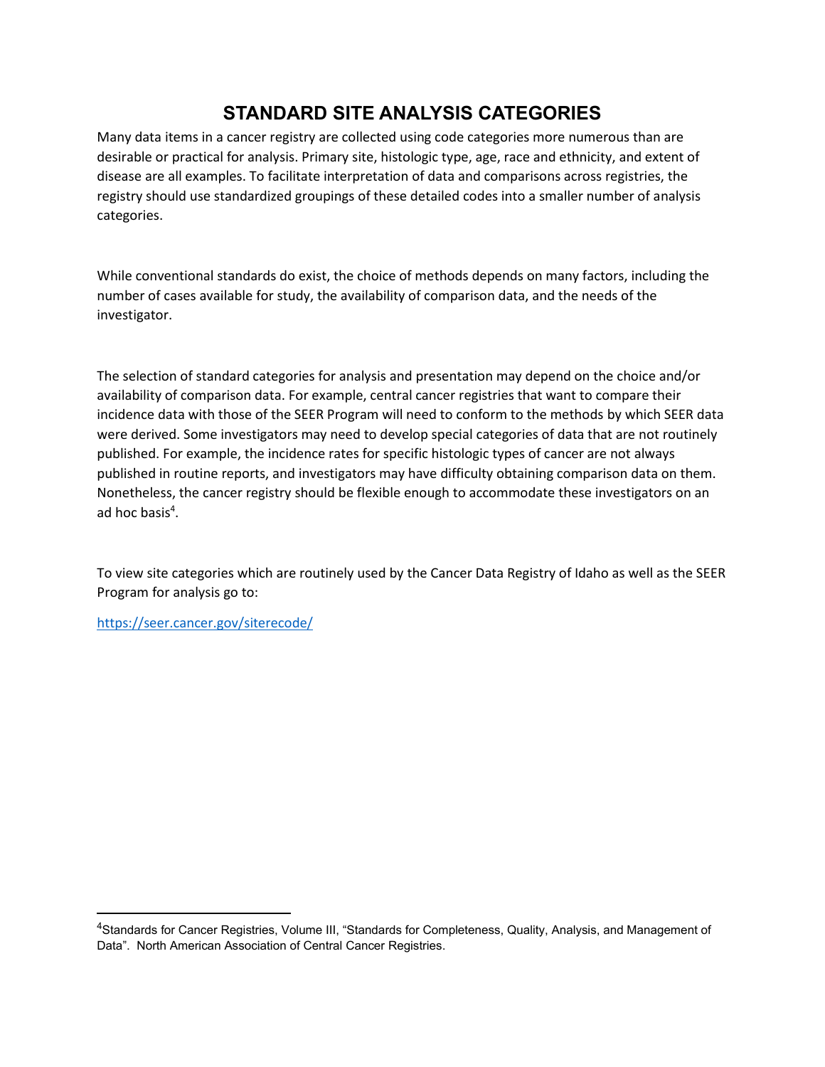# **STANDARD SITE ANALYSIS CATEGORIES**

<span id="page-12-0"></span>Many data items in a cancer registry are collected using code categories more numerous than are desirable or practical for analysis. Primary site, histologic type, age, race and ethnicity, and extent of disease are all examples. To facilitate interpretation of data and comparisons across registries, the registry should use standardized groupings of these detailed codes into a smaller number of analysis categories.

While conventional standards do exist, the choice of methods depends on many factors, including the number of cases available for study, the availability of comparison data, and the needs of the investigator.

The selection of standard categories for analysis and presentation may depend on the choice and/or availability of comparison data. For example, central cancer registries that want to compare their incidence data with those of the SEER Program will need to conform to the methods by which SEER data were derived. Some investigators may need to develop special categories of data that are not routinely published. For example, the incidence rates for specific histologic types of cancer are not always published in routine reports, and investigators may have difficulty obtaining comparison data on them. Nonetheless, the cancer registry should be flexible enough to accommodate these investigators on an ad hoc basis<sup>4</sup>.

To view site categories which are routinely used by the Cancer Data Registry of Idaho as well as the SEER Program for analysis go to:

<https://seer.cancer.gov/siterecode/>

<sup>4</sup>Standards for Cancer Registries, Volume III, "Standards for Completeness, Quality, Analysis, and Management of Data". North American Association of Central Cancer Registries.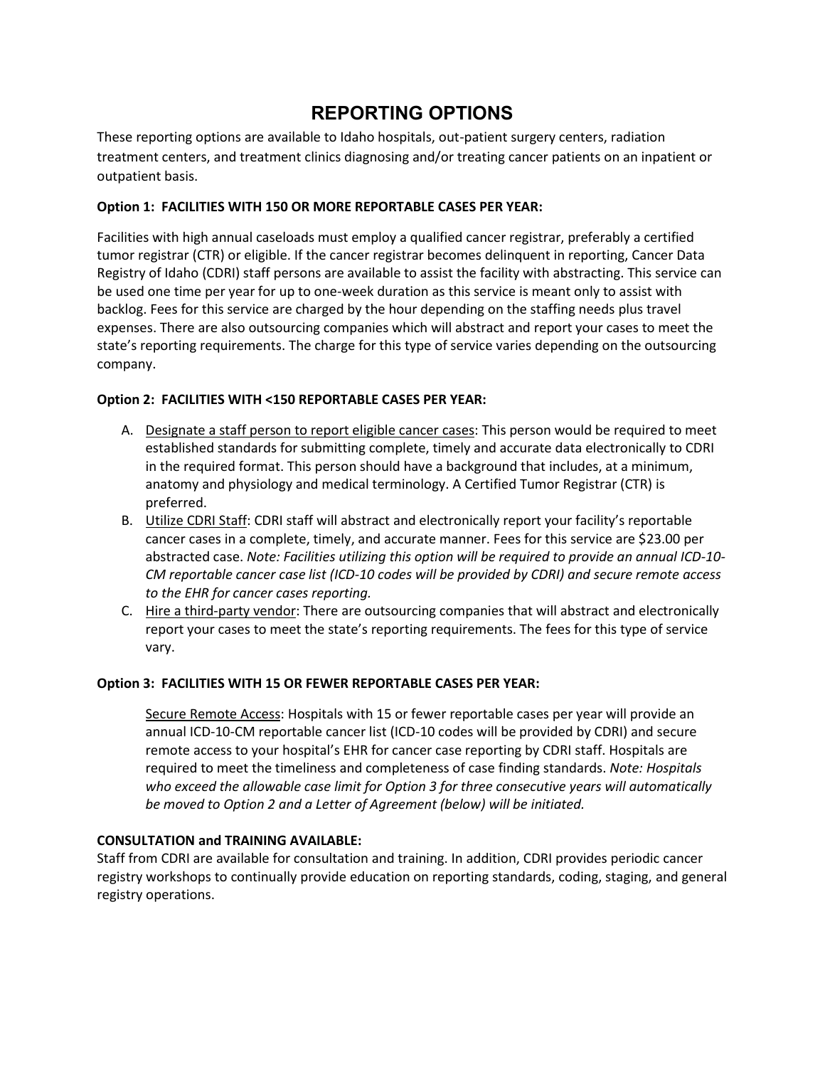# **REPORTING OPTIONS**

<span id="page-13-0"></span>These reporting options are available to Idaho hospitals, out-patient surgery centers, radiation treatment centers, and treatment clinics diagnosing and/or treating cancer patients on an inpatient or outpatient basis.

### **Option 1: FACILITIES WITH 150 OR MORE REPORTABLE CASES PER YEAR:**

Facilities with high annual caseloads must employ a qualified cancer registrar, preferably a certified tumor registrar (CTR) or eligible. If the cancer registrar becomes delinquent in reporting, Cancer Data Registry of Idaho (CDRI) staff persons are available to assist the facility with abstracting. This service can be used one time per year for up to one-week duration as this service is meant only to assist with backlog. Fees for this service are charged by the hour depending on the staffing needs plus travel expenses. There are also outsourcing companies which will abstract and report your cases to meet the state's reporting requirements. The charge for this type of service varies depending on the outsourcing company.

#### **Option 2: FACILITIES WITH <150 REPORTABLE CASES PER YEAR:**

- A. Designate a staff person to report eligible cancer cases: This person would be required to meet established standards for submitting complete, timely and accurate data electronically to CDRI in the required format. This person should have a background that includes, at a minimum, anatomy and physiology and medical terminology. A Certified Tumor Registrar (CTR) is preferred.
- B. Utilize CDRI Staff: CDRI staff will abstract and electronically report your facility's reportable cancer cases in a complete, timely, and accurate manner. Fees for this service are \$23.00 per abstracted case. *Note: Facilities utilizing this option will be required to provide an annual ICD-10- CM reportable cancer case list (ICD-10 codes will be provided by CDRI) and secure remote access to the EHR for cancer cases reporting.*
- C. Hire a third-party vendor: There are outsourcing companies that will abstract and electronically report your cases to meet the state's reporting requirements. The fees for this type of service vary.

#### **Option 3: FACILITIES WITH 15 OR FEWER REPORTABLE CASES PER YEAR:**

Secure Remote Access: Hospitals with 15 or fewer reportable cases per year will provide an annual ICD-10-CM reportable cancer list (ICD-10 codes will be provided by CDRI) and secure remote access to your hospital's EHR for cancer case reporting by CDRI staff. Hospitals are required to meet the timeliness and completeness of case finding standards. *Note: Hospitals who exceed the allowable case limit for Option 3 for three consecutive years will automatically be moved to Option 2 and a Letter of Agreement (below) will be initiated.*

#### **CONSULTATION and TRAINING AVAILABLE:**

Staff from CDRI are available for consultation and training. In addition, CDRI provides periodic cancer registry workshops to continually provide education on reporting standards, coding, staging, and general registry operations.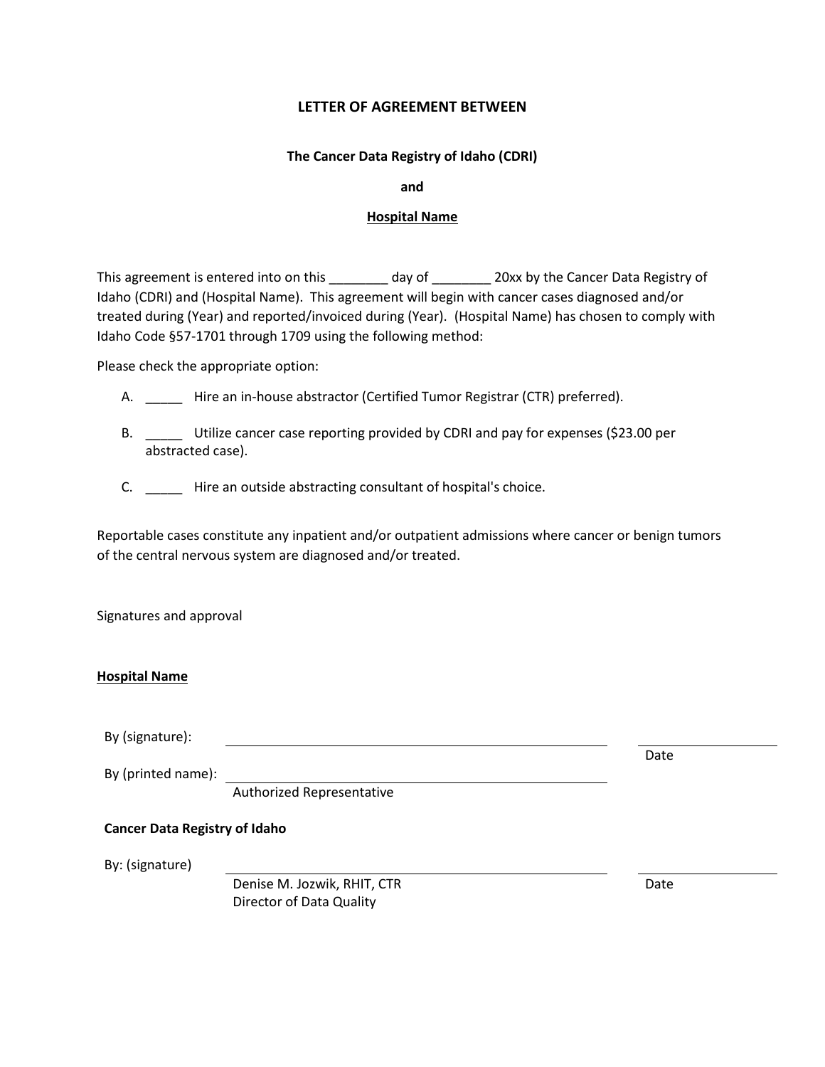#### **LETTER OF AGREEMENT BETWEEN**

#### **The Cancer Data Registry of Idaho (CDRI)**

**and**

#### **Hospital Name**

This agreement is entered into on this \_\_\_\_\_\_\_\_ day of \_\_\_\_\_\_\_\_\_ 20xx by the Cancer Data Registry of Idaho (CDRI) and (Hospital Name). This agreement will begin with cancer cases diagnosed and/or treated during (Year) and reported/invoiced during (Year). (Hospital Name) has chosen to comply with Idaho Code §57-1701 through 1709 using the following method:

Please check the appropriate option:

- A. Hire an in-house abstractor (Certified Tumor Registrar (CTR) preferred).
- B. \_\_\_\_\_ Utilize cancer case reporting provided by CDRI and pay for expenses (\$23.00 per abstracted case).
- C. \_\_\_\_\_ Hire an outside abstracting consultant of hospital's choice.

Reportable cases constitute any inpatient and/or outpatient admissions where cancer or benign tumors of the central nervous system are diagnosed and/or treated.

Signatures and approval

#### **Hospital Name**

By (signature):

By (printed name):

Authorized Representative

#### **Cancer Data Registry of Idaho**

By: (signature)

Denise M. Jozwik, RHIT, CTR Date Director of Data Quality

Date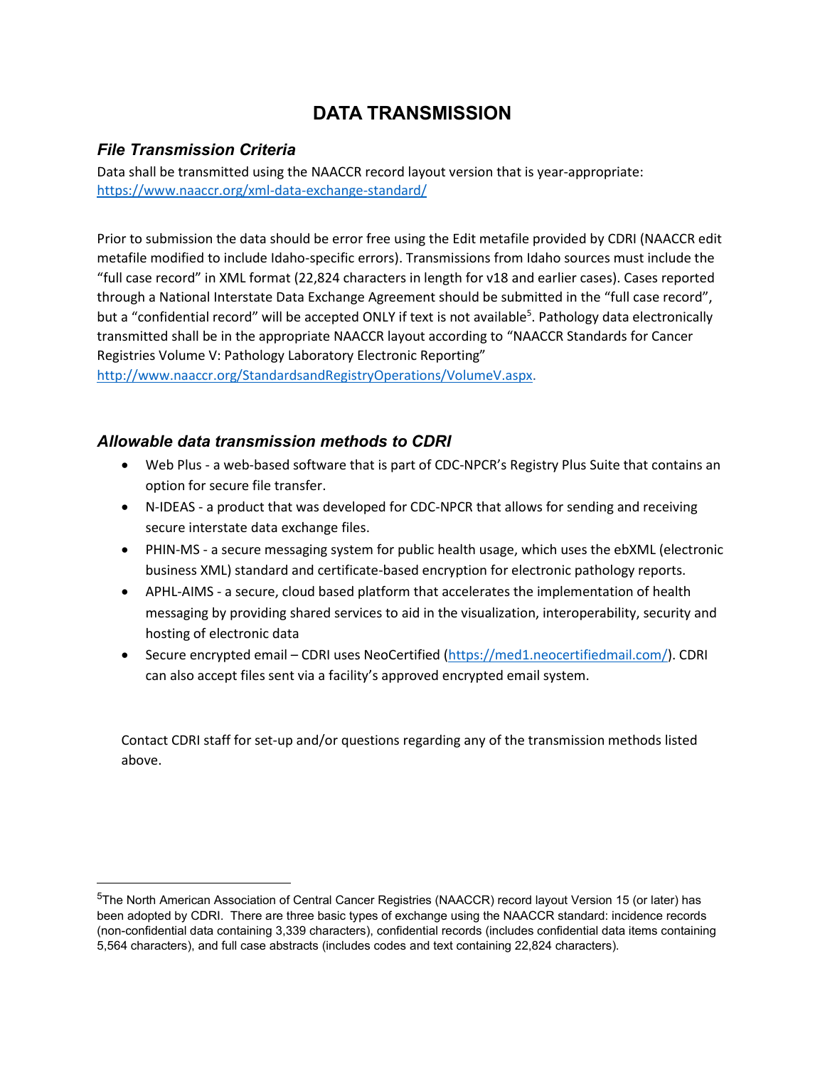# **DATA TRANSMISSION**

### <span id="page-15-1"></span><span id="page-15-0"></span>*File Transmission Criteria*

Data shall be transmitted using the NAACCR record layout version that is year-appropriate: <https://www.naaccr.org/xml-data-exchange-standard/>

Prior to submission the data should be error free using the Edit metafile provided by CDRI (NAACCR edit metafile modified to include Idaho-specific errors). Transmissions from Idaho sources must include the "full case record" in XML format (22,824 characters in length for v18 and earlier cases). Cases reported through a National Interstate Data Exchange Agreement should be submitted in the "full case record", but a "confidential record" will be accepted ONLY if text is not available<sup>5</sup>. Pathology data electronically transmitted shall be in the appropriate NAACCR layout according to "NAACCR Standards for Cancer Registries Volume V: Pathology Laboratory Electronic Reporting"

[http://www.naaccr.org/StandardsandRegistryOperations/VolumeV.aspx.](http://www.naaccr.org/StandardsandRegistryOperations/VolumeV.aspx)

### <span id="page-15-2"></span>*Allowable data transmission methods to CDRI*

- Web Plus a web-based software that is part of CDC-NPCR's Registry Plus Suite that contains an option for secure file transfer.
- N-IDEAS a product that was developed for CDC-NPCR that allows for sending and receiving secure interstate data exchange files.
- PHIN-MS a secure messaging system for public health usage, which uses the ebXML (electronic business XML) standard and certificate-based encryption for electronic pathology reports.
- APHL-AIMS a secure, cloud based platform that accelerates the implementation of health messaging by providing shared services to aid in the visualization, interoperability, security and hosting of electronic data
- Secure encrypted email CDRI uses NeoCertified [\(https://med1.neocertifiedmail.com/\)](https://med1.neocertifiedmail.com/). CDRI can also accept files sent via a facility's approved encrypted email system.

Contact CDRI staff for set-up and/or questions regarding any of the transmission methods listed above.

<sup>5</sup>The North American Association of Central Cancer Registries (NAACCR) record layout Version 15 (or later) has been adopted by CDRI. There are three basic types of exchange using the NAACCR standard: incidence records (non-confidential data containing 3,339 characters), confidential records (includes confidential data items containing 5,564 characters), and full case abstracts (includes codes and text containing 22,824 characters).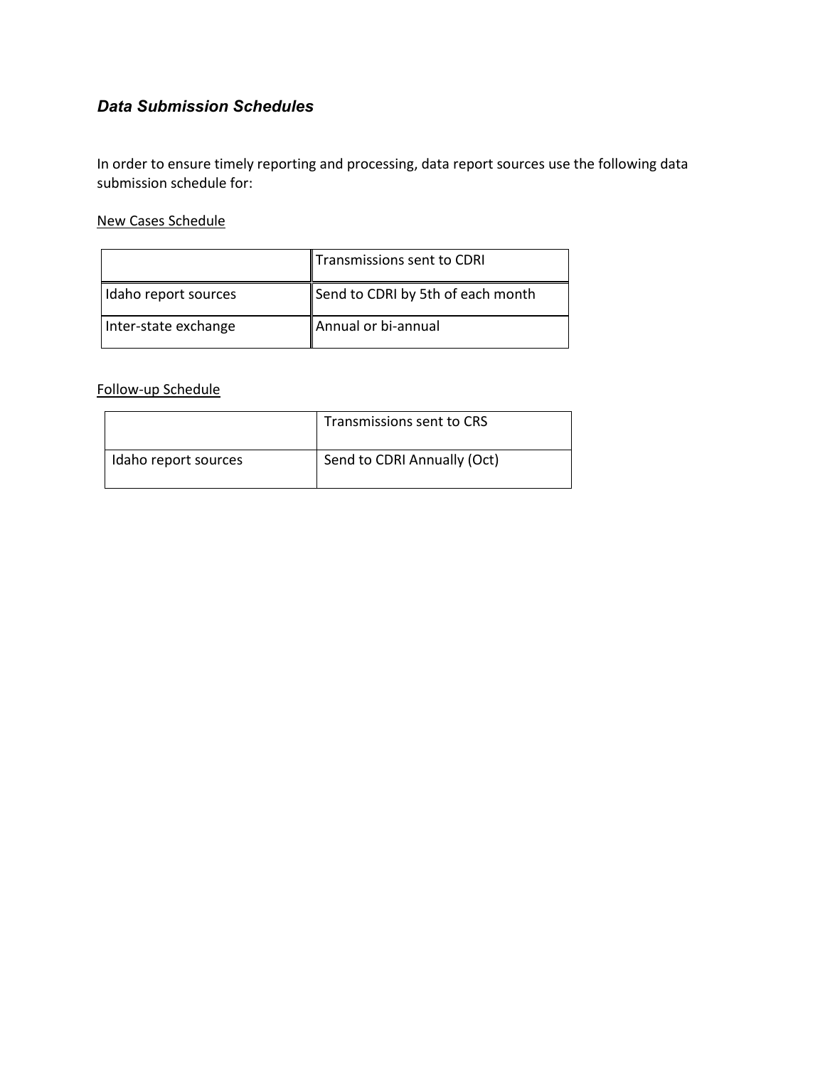## <span id="page-16-0"></span>*Data Submission Schedules*

In order to ensure timely reporting and processing, data report sources use the following data submission schedule for:

#### New Cases Schedule

|                      | Transmissions sent to CDRI        |
|----------------------|-----------------------------------|
| Idaho report sources | Send to CDRI by 5th of each month |
| Inter-state exchange | Annual or bi-annual               |

### Follow-up Schedule

|                      | Transmissions sent to CRS   |
|----------------------|-----------------------------|
| Idaho report sources | Send to CDRI Annually (Oct) |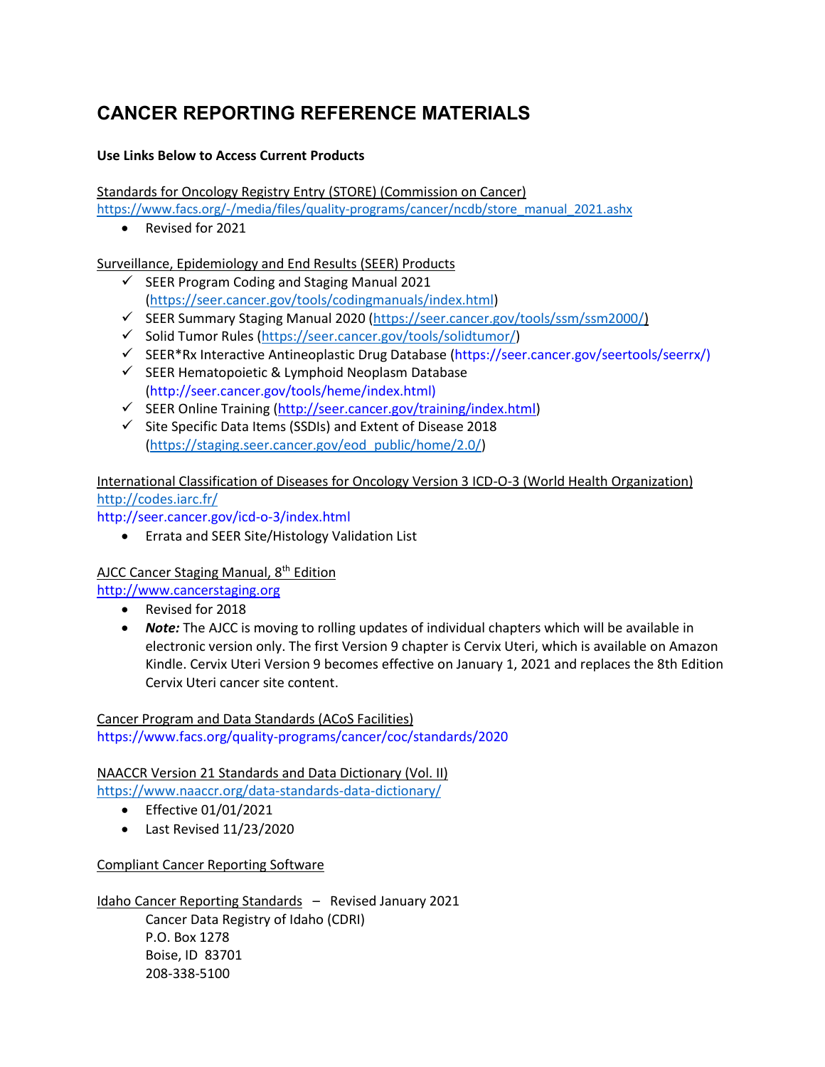# <span id="page-17-0"></span>**CANCER REPORTING REFERENCE MATERIALS**

### **Use Links Below to Access Current Products**

Standards for Oncology Registry Entry (STORE) (Commission on Cancer)

[https://www.facs.org/-/media/files/quality-programs/cancer/ncdb/store\\_manual\\_2021.ashx](https://www.facs.org/-/media/files/quality-programs/cancer/ncdb/store_manual_2021.ashx)

• Revised for 2021

Surveillance, Epidemiology and End Results (SEER) Products

- ✓ SEER Program Coding and Staging Manual 2021 [\(https://seer.cancer.gov/tools/codingmanuals/index.html\)](https://seer.cancer.gov/tools/codingmanuals/index.html)
- ✓ SEER Summary Staging Manual 2020 (https://seer.cancer.gov/tools/ssm/ssm2000/)
- ✓ Solid Tumor Rules [\(https://seer.cancer.gov/tools/solidtumor/\)](https://seer.cancer.gov/tools/solidtumor/)
- ✓ SEER\*Rx Interactive Antineoplastic Drug Database (https://seer.cancer.gov/seertools/seerrx/)
- $\checkmark$  SEER Hematopoietic & Lymphoid Neoplasm Database (http://seer.cancer.gov/tools/heme/index.html)
- ✓ SEER Online Training [\(http://seer.cancer.gov/training/index.html\)](http://seer.cancer.gov/training/index.html)
- ✓ Site Specific Data Items (SSDIs) and Extent of Disease 2018 [\(https://staging.seer.cancer.gov/eod\\_public/home/2.0/\)](https://staging.seer.cancer.gov/eod_public/home/2.0/)

### International Classification of Diseases for Oncology Version 3 ICD-O-3 (World Health Organization) <http://codes.iarc.fr/>

http://seer.cancer.gov/icd-o-3/index.html

• Errata and SEER Site/Histology Validation List

### AJCC Cancer Staging Manual, 8<sup>th</sup> Edition

[http://www.cancerstaging.org](http://www.cancerstaging.org/)

- Revised for 2018
- *Note:* The AJCC is moving to rolling updates of individual chapters which will be available in electronic version only. The first Version 9 chapter is Cervix Uteri, which is available on Amazon Kindle. Cervix Uteri Version 9 becomes effective on January 1, 2021 and replaces the 8th Edition Cervix Uteri cancer site content.

Cancer Program and Data Standards (ACoS Facilities) https://www.facs.org/quality-programs/cancer/coc/standards/2020

NAACCR Version 21 Standards and Data Dictionary (Vol. II)

<https://www.naaccr.org/data-standards-data-dictionary/>

- Effective 01/01/2021
- Last Revised 11/23/2020

Compliant Cancer Reporting Software

Idaho Cancer Reporting Standards - Revised January 2021 Cancer Data Registry of Idaho (CDRI) P.O. Box 1278 Boise, ID 83701 208-338-5100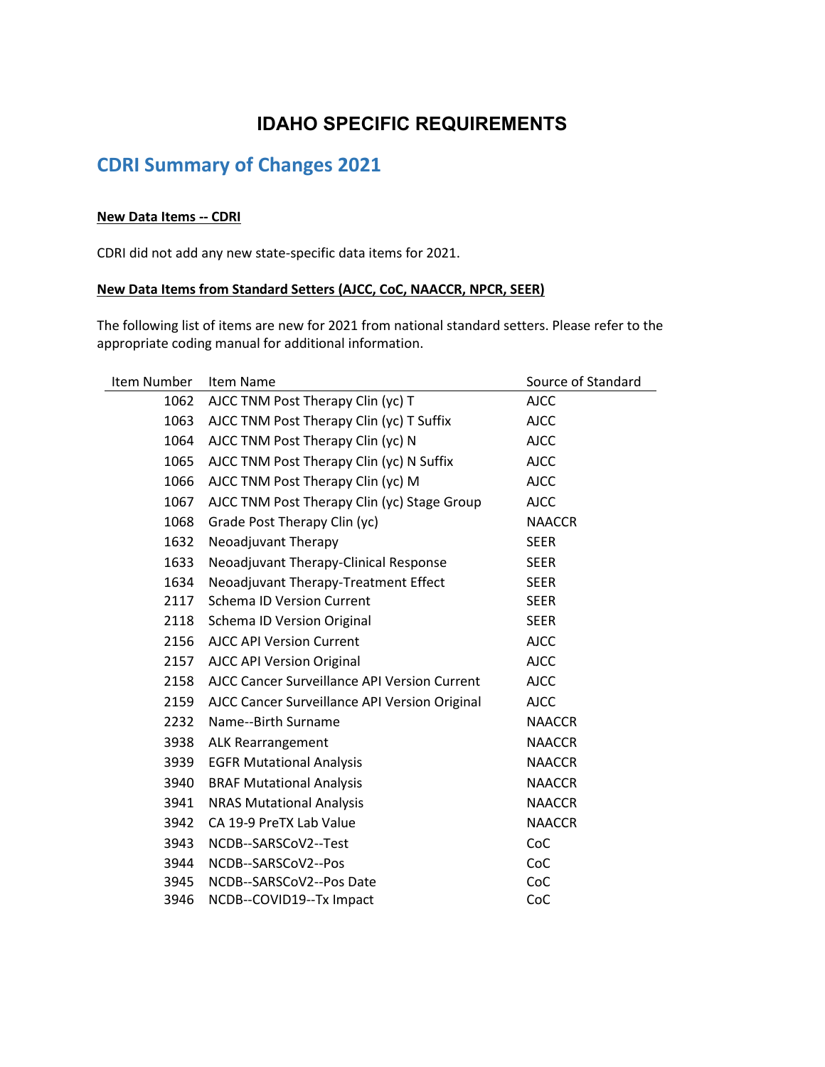# **IDAHO SPECIFIC REQUIREMENTS**

# <span id="page-18-1"></span><span id="page-18-0"></span>**CDRI Summary of Changes 2021**

#### **New Data Items -- CDRI**

CDRI did not add any new state-specific data items for 2021.

#### **New Data Items from Standard Setters (AJCC, CoC, NAACCR, NPCR, SEER)**

The following list of items are new for 2021 from national standard setters. Please refer to the appropriate coding manual for additional information.

| Item Number                               | Item Name                                     | Source of Standard |
|-------------------------------------------|-----------------------------------------------|--------------------|
| 1062<br>AJCC TNM Post Therapy Clin (yc) T |                                               | <b>AJCC</b>        |
| 1063                                      | AJCC TNM Post Therapy Clin (yc) T Suffix      | <b>AJCC</b>        |
| 1064                                      | AJCC TNM Post Therapy Clin (yc) N             | <b>AJCC</b>        |
| 1065                                      | AJCC TNM Post Therapy Clin (yc) N Suffix      | <b>AJCC</b>        |
| 1066                                      | AJCC TNM Post Therapy Clin (yc) M             | <b>AJCC</b>        |
| 1067                                      | AJCC TNM Post Therapy Clin (yc) Stage Group   | <b>AJCC</b>        |
| 1068                                      | Grade Post Therapy Clin (yc)                  | <b>NAACCR</b>      |
| 1632                                      | Neoadjuvant Therapy                           | <b>SEER</b>        |
| 1633                                      | Neoadjuvant Therapy-Clinical Response         | <b>SEER</b>        |
| 1634                                      | Neoadjuvant Therapy-Treatment Effect          | <b>SEER</b>        |
| 2117                                      | <b>Schema ID Version Current</b>              | <b>SEER</b>        |
| 2118                                      | Schema ID Version Original                    | <b>SEER</b>        |
| 2156                                      | <b>AJCC API Version Current</b>               | <b>AJCC</b>        |
| 2157                                      | <b>AJCC API Version Original</b>              | <b>AJCC</b>        |
| 2158                                      | AJCC Cancer Surveillance API Version Current  | <b>AJCC</b>        |
| 2159                                      | AJCC Cancer Surveillance API Version Original | <b>AJCC</b>        |
| 2232                                      | Name--Birth Surname                           | <b>NAACCR</b>      |
| 3938                                      | <b>ALK Rearrangement</b>                      | <b>NAACCR</b>      |
| 3939                                      | <b>EGFR Mutational Analysis</b>               | <b>NAACCR</b>      |
| 3940                                      | <b>BRAF Mutational Analysis</b>               | <b>NAACCR</b>      |
| 3941                                      | <b>NRAS Mutational Analysis</b>               | <b>NAACCR</b>      |
| 3942                                      | CA 19-9 PreTX Lab Value                       | <b>NAACCR</b>      |
| 3943                                      | NCDB--SARSCoV2--Test                          | CoC                |
| 3944                                      | NCDB--SARSCoV2--Pos                           | CoC                |
| 3945                                      | NCDB--SARSCoV2--Pos Date                      | CoC                |
| 3946                                      | NCDB--COVID19--Tx Impact                      | CoC                |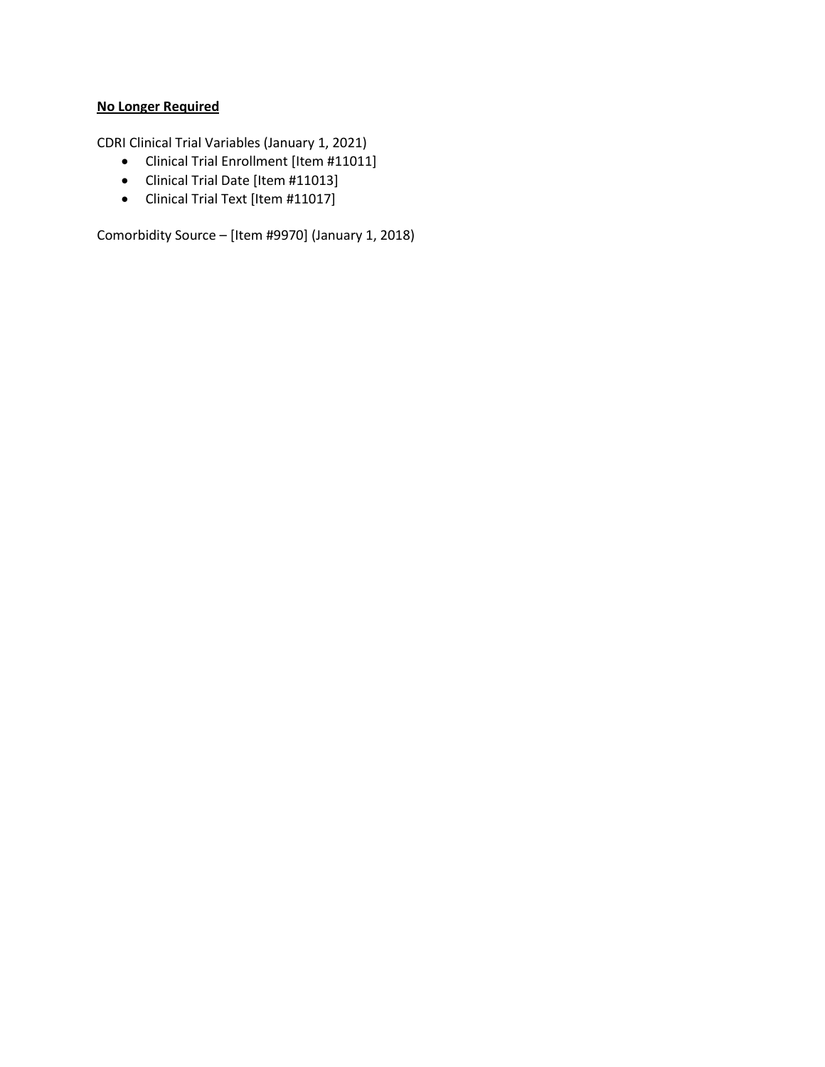### **No Longer Required**

CDRI Clinical Trial Variables (January 1, 2021)

- Clinical Trial Enrollment [Item #11011]
- Clinical Trial Date [Item #11013]
- Clinical Trial Text [Item #11017]

Comorbidity Source – [Item #9970] (January 1, 2018)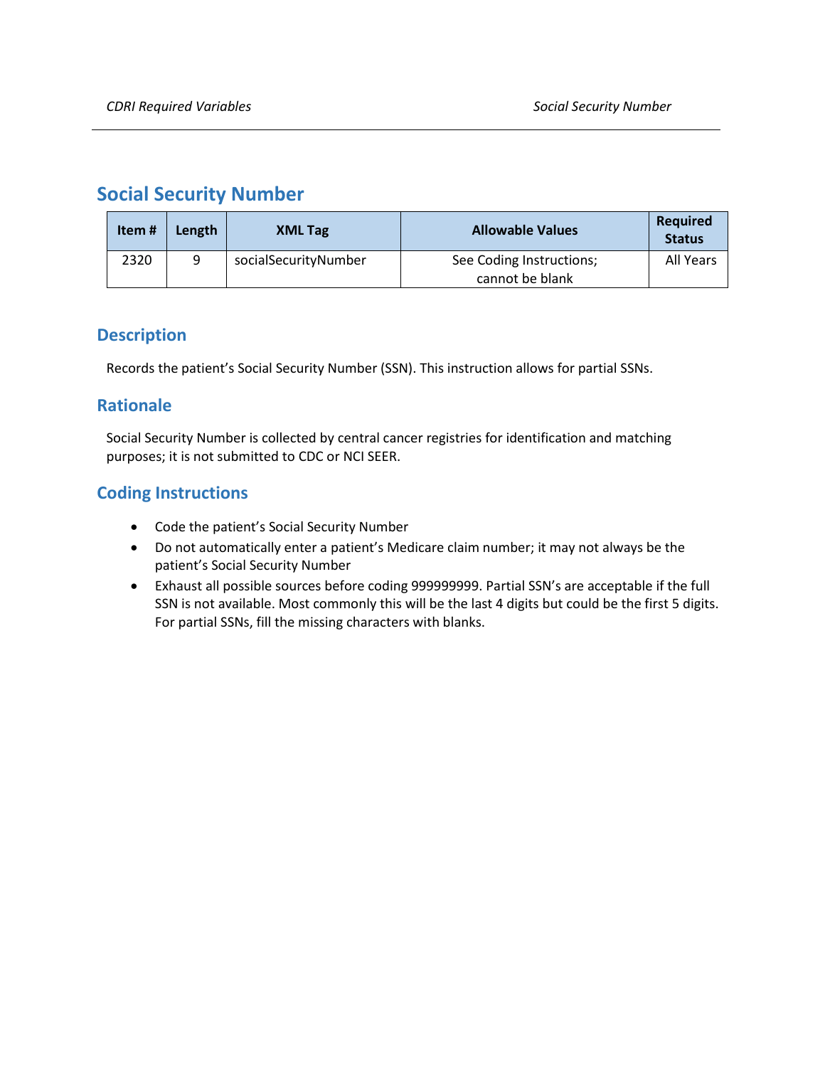## <span id="page-20-0"></span>**Social Security Number**

| Item# | Length | <b>XML Tag</b>       | <b>Allowable Values</b>                     | Required<br><b>Status</b> |
|-------|--------|----------------------|---------------------------------------------|---------------------------|
| 2320  | a      | socialSecurityNumber | See Coding Instructions;<br>cannot be blank | All Years                 |

### **Description**

Records the patient's Social Security Number (SSN). This instruction allows for partial SSNs.

### **Rationale**

Social Security Number is collected by central cancer registries for identification and matching purposes; it is not submitted to CDC or NCI SEER.

- Code the patient's Social Security Number
- Do not automatically enter a patient's Medicare claim number; it may not always be the patient's Social Security Number
- Exhaust all possible sources before coding 999999999. Partial SSN's are acceptable if the full SSN is not available. Most commonly this will be the last 4 digits but could be the first 5 digits. For partial SSNs, fill the missing characters with blanks.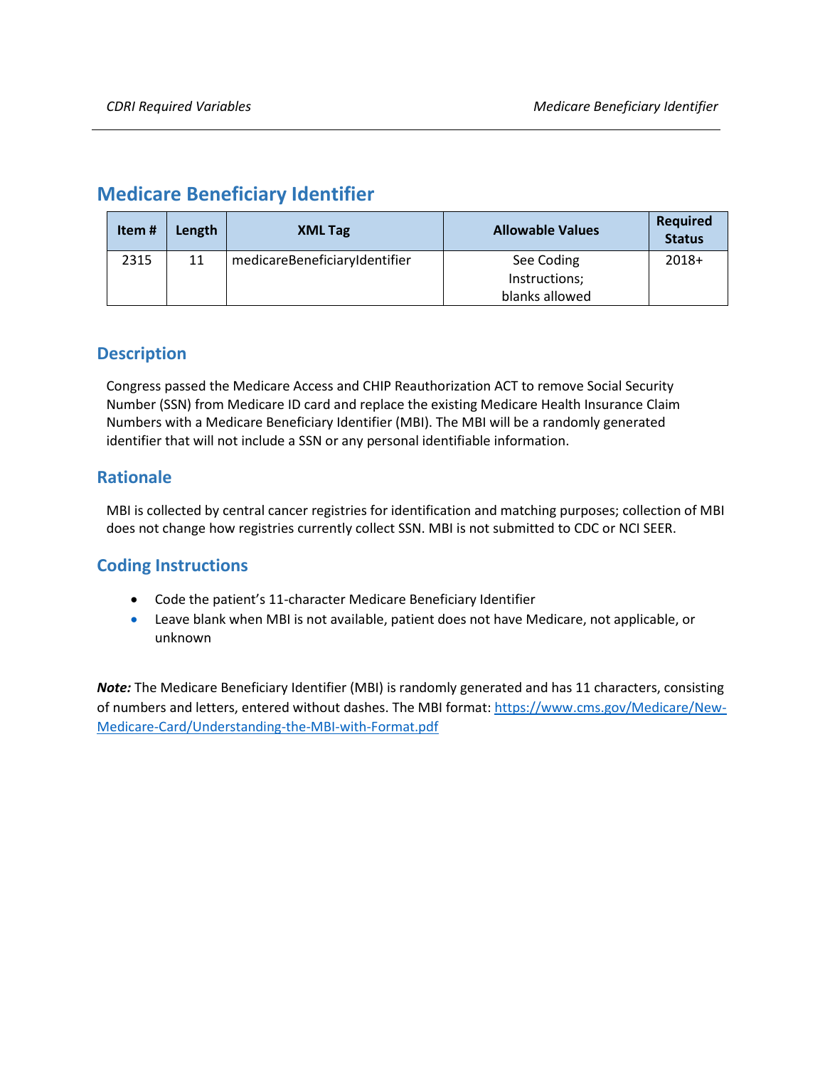# <span id="page-21-0"></span>**Medicare Beneficiary Identifier**

| Item# | Length | <b>XML Tag</b>                | <b>Allowable Values</b>     | Required<br><b>Status</b> |
|-------|--------|-------------------------------|-----------------------------|---------------------------|
| 2315  | 11     | medicareBeneficiaryIdentifier | See Coding<br>Instructions; | $2018+$                   |
|       |        |                               | blanks allowed              |                           |

### **Description**

Congress passed the Medicare Access and CHIP Reauthorization ACT to remove Social Security Number (SSN) from Medicare ID card and replace the existing Medicare Health Insurance Claim Numbers with a Medicare Beneficiary Identifier (MBI). The MBI will be a randomly generated identifier that will not include a SSN or any personal identifiable information.

### **Rationale**

MBI is collected by central cancer registries for identification and matching purposes; collection of MBI does not change how registries currently collect SSN. MBI is not submitted to CDC or NCI SEER.

### **Coding Instructions**

- Code the patient's 11-character Medicare Beneficiary Identifier
- Leave blank when MBI is not available, patient does not have Medicare, not applicable, or unknown

*Note:* The Medicare Beneficiary Identifier (MBI) is randomly generated and has 11 characters, consisting of numbers and letters, entered without dashes. The MBI format: [https://www.cms.gov/Medicare/New-](https://www.cms.gov/Medicare/New-Medicare-Card/Understanding-the-MBI-with-Format.pdf)[Medicare-Card/Understanding-the-MBI-with-Format.pdf](https://www.cms.gov/Medicare/New-Medicare-Card/Understanding-the-MBI-with-Format.pdf)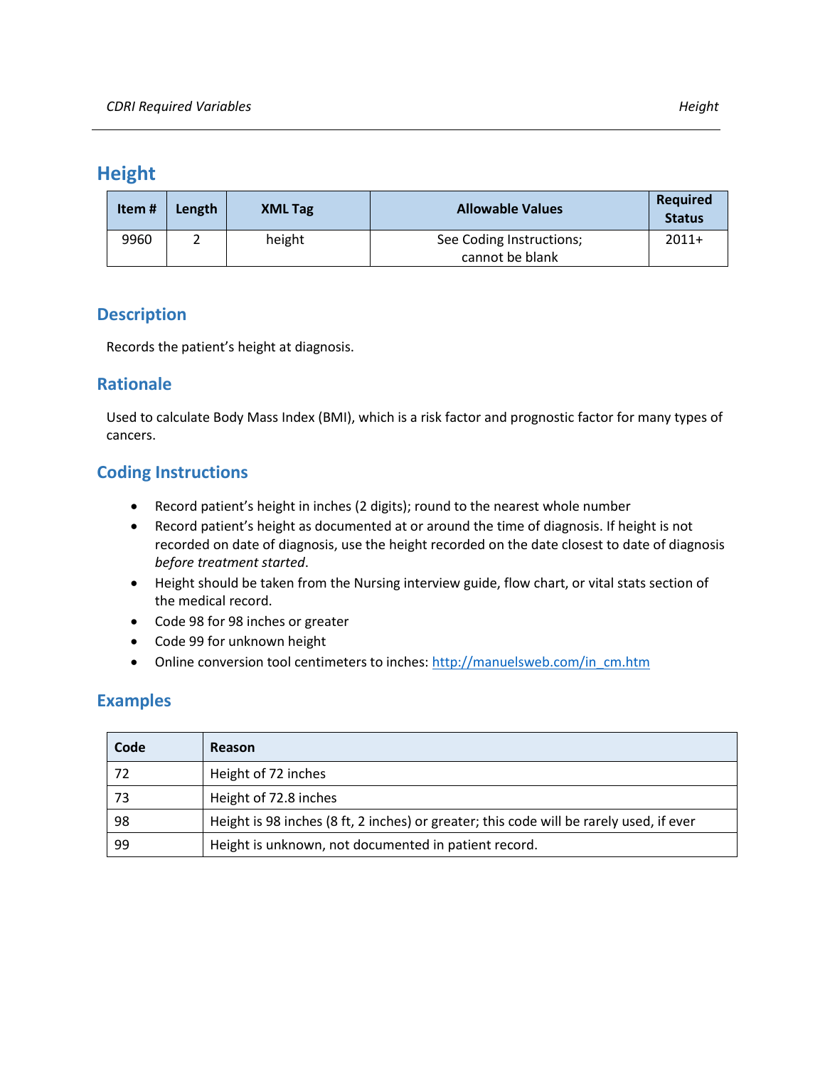## <span id="page-22-0"></span>**Height**

| Item# | Length | <b>XML Tag</b> | <b>Allowable Values</b>                     | Required<br><b>Status</b> |
|-------|--------|----------------|---------------------------------------------|---------------------------|
| 9960  |        | height         | See Coding Instructions;<br>cannot be blank | $2011+$                   |

### **Description**

Records the patient's height at diagnosis.

### **Rationale**

Used to calculate Body Mass Index (BMI), which is a risk factor and prognostic factor for many types of cancers.

### **Coding Instructions**

- Record patient's height in inches (2 digits); round to the nearest whole number
- Record patient's height as documented at or around the time of diagnosis. If height is not recorded on date of diagnosis, use the height recorded on the date closest to date of diagnosis *before treatment started*.
- Height should be taken from the Nursing interview guide, flow chart, or vital stats section of the medical record.
- Code 98 for 98 inches or greater
- Code 99 for unknown height
- Online conversion tool centimeters to inches[: http://manuelsweb.com/in\\_cm.htm](http://manuelsweb.com/in_cm.htm)

### **Examples**

| Code | Reason                                                                                  |
|------|-----------------------------------------------------------------------------------------|
| 72   | Height of 72 inches                                                                     |
| 73   | Height of 72.8 inches                                                                   |
| 98   | Height is 98 inches (8 ft, 2 inches) or greater; this code will be rarely used, if ever |
| 99   | Height is unknown, not documented in patient record.                                    |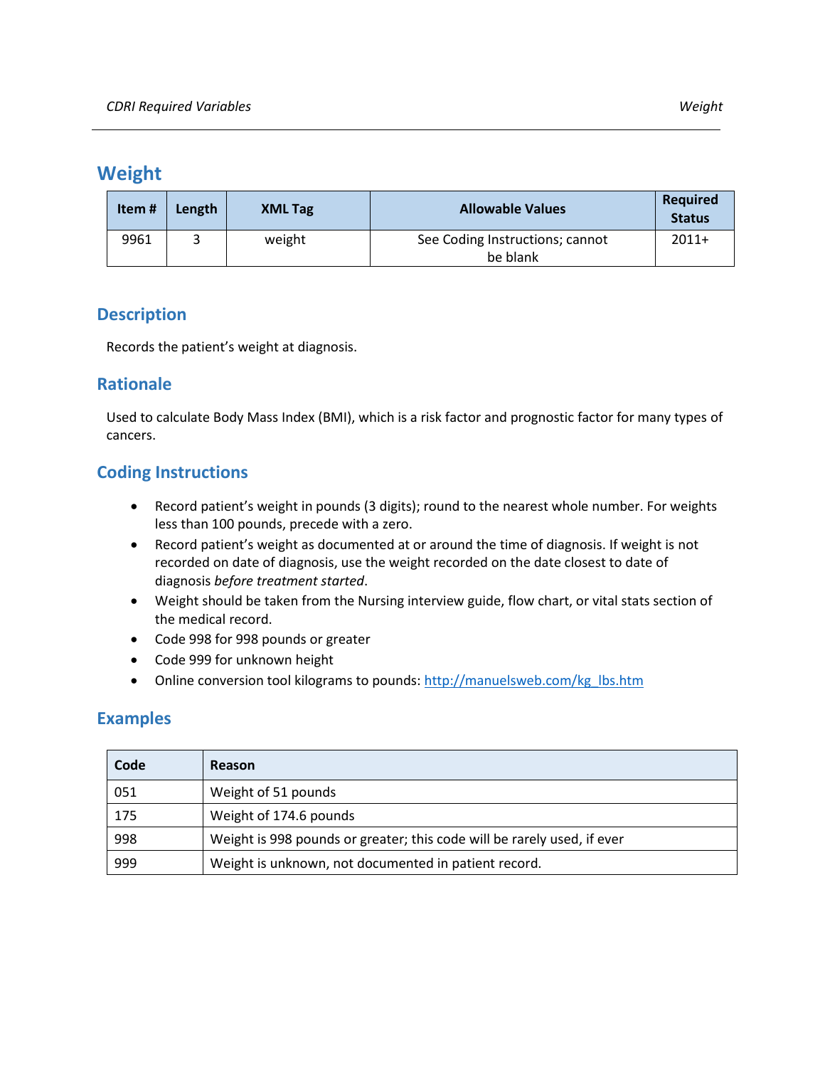### <span id="page-23-0"></span>**Weight**

| Item# | Length | <b>XML Tag</b> | <b>Allowable Values</b>                     | <b>Required</b><br><b>Status</b> |
|-------|--------|----------------|---------------------------------------------|----------------------------------|
| 9961  |        | weight         | See Coding Instructions; cannot<br>be blank | $2011+$                          |

### **Description**

Records the patient's weight at diagnosis.

### **Rationale**

Used to calculate Body Mass Index (BMI), which is a risk factor and prognostic factor for many types of cancers.

### **Coding Instructions**

- Record patient's weight in pounds (3 digits); round to the nearest whole number. For weights less than 100 pounds, precede with a zero.
- Record patient's weight as documented at or around the time of diagnosis. If weight is not recorded on date of diagnosis, use the weight recorded on the date closest to date of diagnosis *before treatment started*.
- Weight should be taken from the Nursing interview guide, flow chart, or vital stats section of the medical record.
- Code 998 for 998 pounds or greater
- Code 999 for unknown height
- Online conversion tool kilograms to pounds: [http://manuelsweb.com/kg\\_lbs.htm](http://manuelsweb.com/kg_lbs.htm)

### **Examples**

| Code | Reason                                                                  |
|------|-------------------------------------------------------------------------|
| 051  | Weight of 51 pounds                                                     |
| 175  | Weight of 174.6 pounds                                                  |
| 998  | Weight is 998 pounds or greater; this code will be rarely used, if ever |
| 999  | Weight is unknown, not documented in patient record.                    |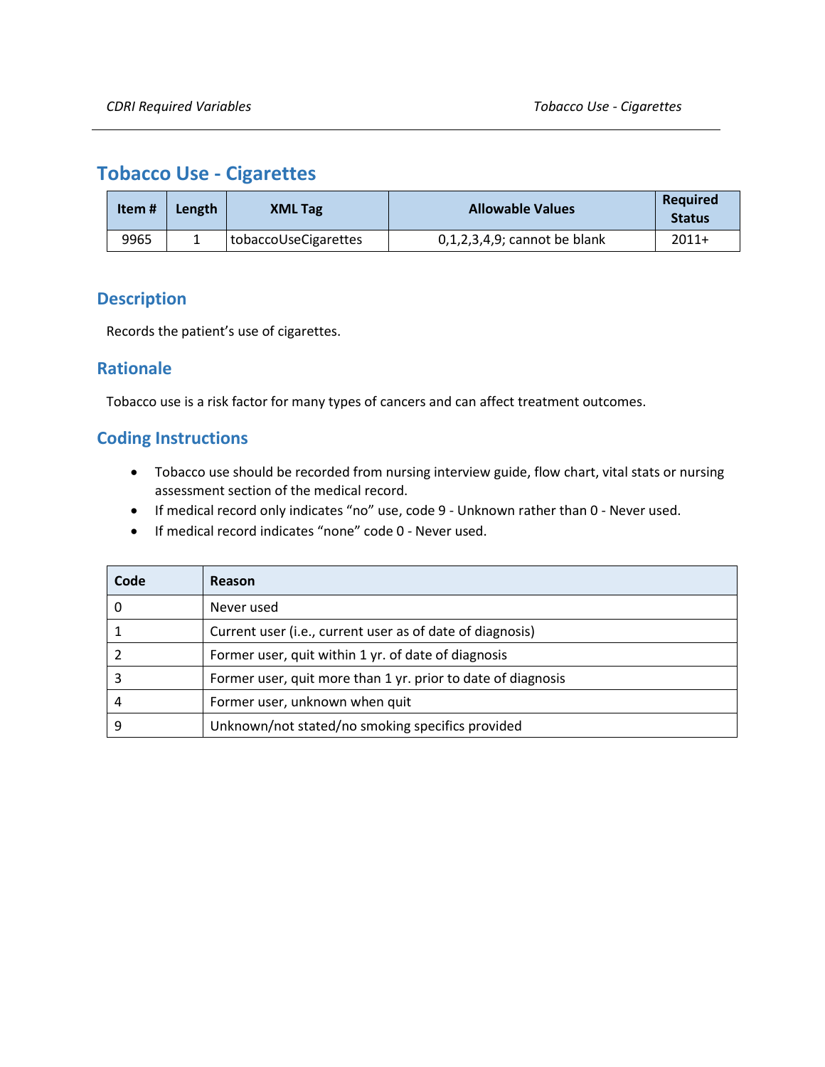# <span id="page-24-0"></span>**Tobacco Use - Cigarettes**

| Item# | Length | <b>XML Tag</b>       | <b>Allowable Values</b>         | <b>Required</b><br><b>Status</b> |
|-------|--------|----------------------|---------------------------------|----------------------------------|
| 9965  |        | tobaccoUseCigarettes | $0,1,2,3,4,9$ ; cannot be blank | $2011+$                          |

### **Description**

Records the patient's use of cigarettes.

### **Rationale**

Tobacco use is a risk factor for many types of cancers and can affect treatment outcomes.

- Tobacco use should be recorded from nursing interview guide, flow chart, vital stats or nursing assessment section of the medical record.
- If medical record only indicates "no" use, code 9 Unknown rather than 0 Never used.
- If medical record indicates "none" code 0 Never used.

| Code | Reason                                                       |
|------|--------------------------------------------------------------|
|      | Never used                                                   |
|      | Current user (i.e., current user as of date of diagnosis)    |
|      | Former user, quit within 1 yr. of date of diagnosis          |
|      | Former user, quit more than 1 yr. prior to date of diagnosis |
| 4    | Former user, unknown when quit                               |
|      | Unknown/not stated/no smoking specifics provided             |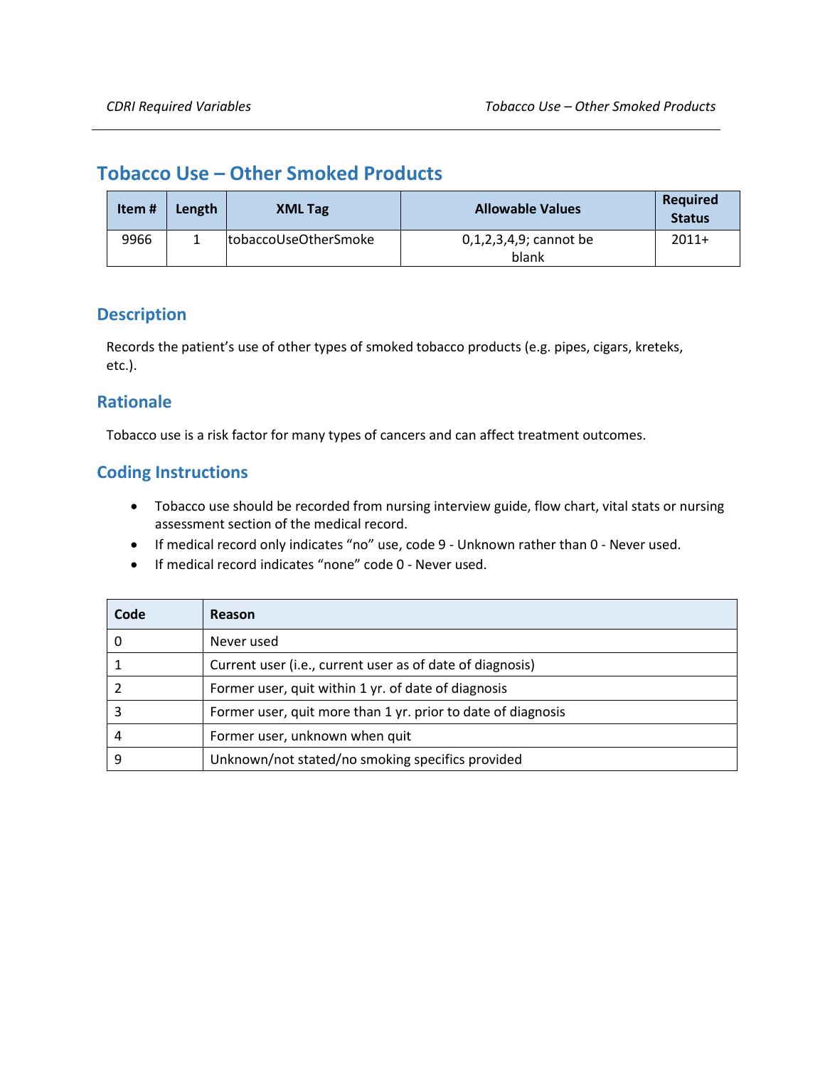## <span id="page-25-0"></span>**Tobacco Use – Other Smoked Products**

| Item# | Length | <b>XML Tag</b>       | <b>Allowable Values</b>            | Required<br><b>Status</b> |
|-------|--------|----------------------|------------------------------------|---------------------------|
| 9966  |        | tobaccoUseOtherSmoke | $0,1,2,3,4,9$ ; cannot be<br>blank | $2011+$                   |

### **Description**

Records the patient's use of other types of smoked tobacco products (e.g. pipes, cigars, kreteks, etc.).

### **Rationale**

Tobacco use is a risk factor for many types of cancers and can affect treatment outcomes.

- Tobacco use should be recorded from nursing interview guide, flow chart, vital stats or nursing assessment section of the medical record.
- If medical record only indicates "no" use, code 9 Unknown rather than 0 Never used.
- If medical record indicates "none" code 0 Never used.

| Code | Reason                                                       |
|------|--------------------------------------------------------------|
|      | Never used                                                   |
|      | Current user (i.e., current user as of date of diagnosis)    |
|      | Former user, quit within 1 yr. of date of diagnosis          |
|      | Former user, quit more than 1 yr. prior to date of diagnosis |
| 4    | Former user, unknown when quit                               |
|      | Unknown/not stated/no smoking specifics provided             |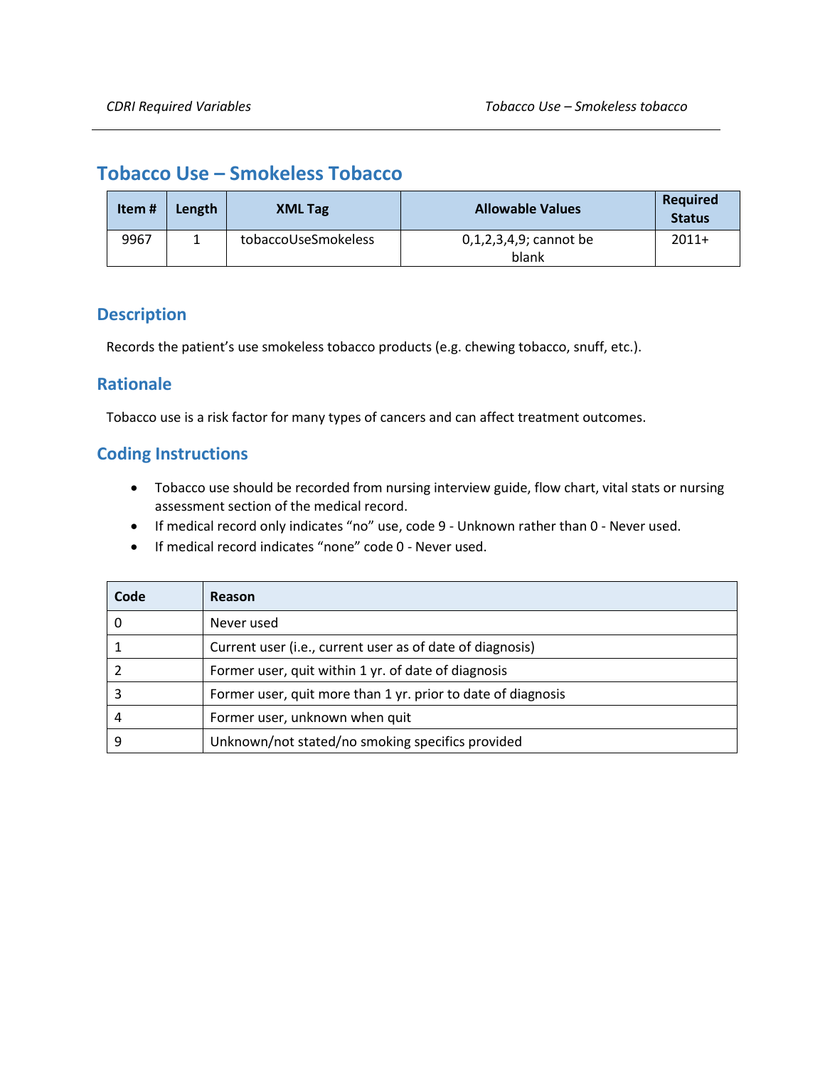## <span id="page-26-0"></span>**Tobacco Use – Smokeless Tobacco**

| Item# | Length | <b>XML Tag</b>      | <b>Allowable Values</b>            | <b>Required</b><br><b>Status</b> |
|-------|--------|---------------------|------------------------------------|----------------------------------|
| 9967  |        | tobaccoUseSmokeless | $0,1,2,3,4,9$ ; cannot be<br>blank | $2011+$                          |

### **Description**

Records the patient's use smokeless tobacco products (e.g. chewing tobacco, snuff, etc.).

### **Rationale**

Tobacco use is a risk factor for many types of cancers and can affect treatment outcomes.

- Tobacco use should be recorded from nursing interview guide, flow chart, vital stats or nursing assessment section of the medical record.
- If medical record only indicates "no" use, code 9 Unknown rather than 0 Never used.
- If medical record indicates "none" code 0 Never used.

| Code | Reason                                                       |
|------|--------------------------------------------------------------|
|      | Never used                                                   |
|      | Current user (i.e., current user as of date of diagnosis)    |
|      | Former user, quit within 1 yr. of date of diagnosis          |
|      | Former user, quit more than 1 yr. prior to date of diagnosis |
| 4    | Former user, unknown when quit                               |
|      | Unknown/not stated/no smoking specifics provided             |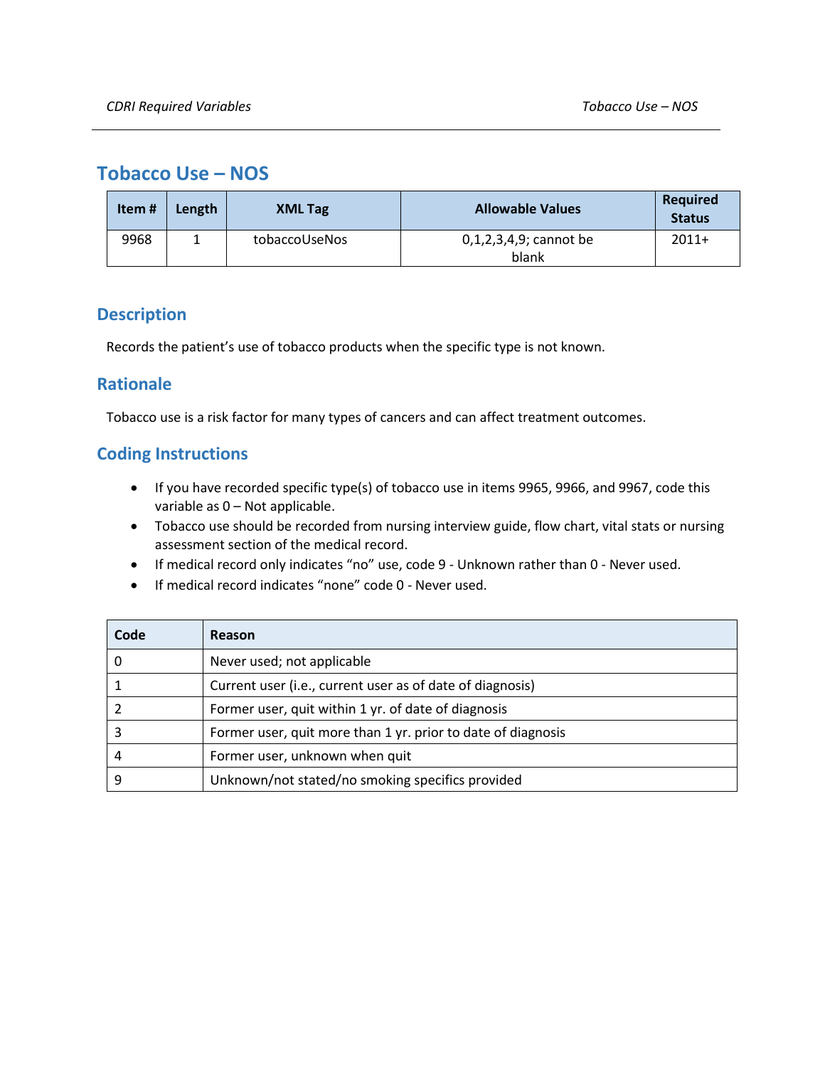## <span id="page-27-0"></span>**Tobacco Use – NOS**

| Item# | Length | <b>XML Tag</b> | <b>Allowable Values</b>            | <b>Required</b><br><b>Status</b> |
|-------|--------|----------------|------------------------------------|----------------------------------|
| 9968  |        | tobaccoUseNos  | $0,1,2,3,4,9$ ; cannot be<br>blank | $2011+$                          |

### **Description**

Records the patient's use of tobacco products when the specific type is not known.

### **Rationale**

Tobacco use is a risk factor for many types of cancers and can affect treatment outcomes.

- If you have recorded specific type(s) of tobacco use in items 9965, 9966, and 9967, code this variable as 0 – Not applicable.
- Tobacco use should be recorded from nursing interview guide, flow chart, vital stats or nursing assessment section of the medical record.
- If medical record only indicates "no" use, code 9 Unknown rather than 0 Never used.
- If medical record indicates "none" code 0 Never used.

| Code | Reason                                                       |
|------|--------------------------------------------------------------|
|      | Never used; not applicable                                   |
|      | Current user (i.e., current user as of date of diagnosis)    |
|      | Former user, quit within 1 yr. of date of diagnosis          |
|      | Former user, quit more than 1 yr. prior to date of diagnosis |
| 4    | Former user, unknown when quit                               |
|      | Unknown/not stated/no smoking specifics provided             |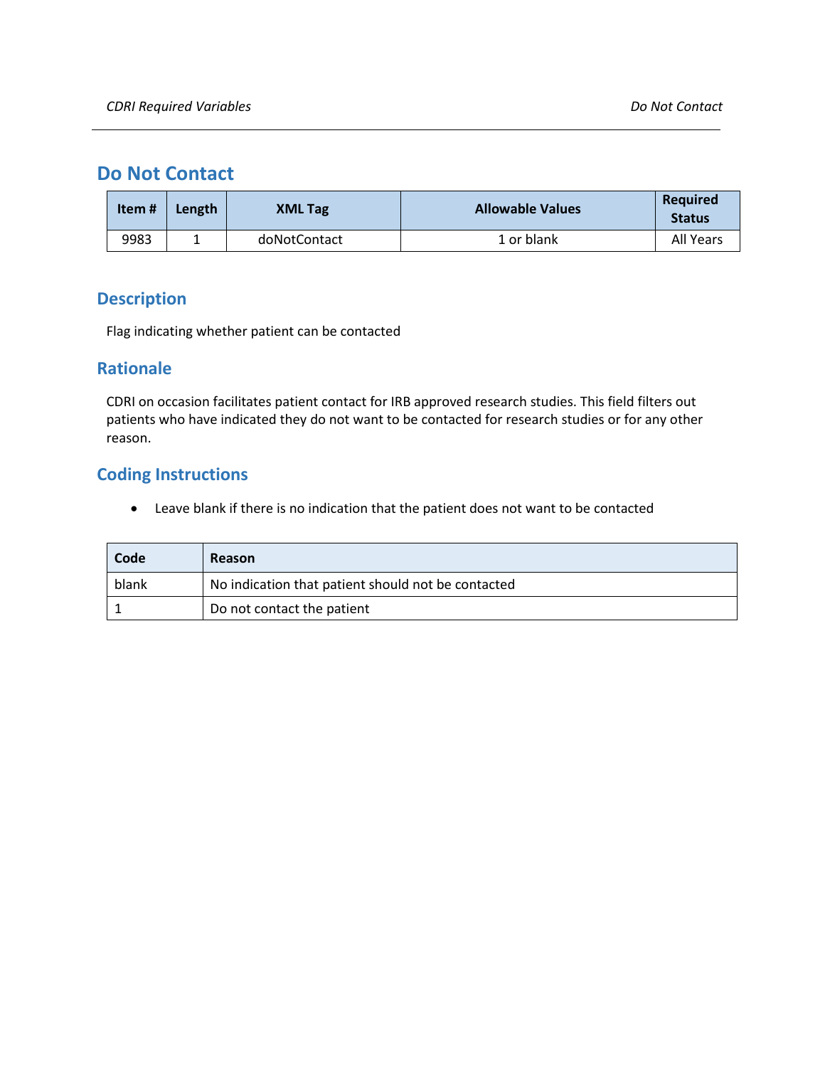# <span id="page-28-0"></span>**Do Not Contact**

| Item# | Length | <b>XML Tag</b> | <b>Allowable Values</b> | <b>Required</b><br><b>Status</b> |
|-------|--------|----------------|-------------------------|----------------------------------|
| 9983  |        | doNotContact   | 1 or blank              | All Years                        |

### **Description**

Flag indicating whether patient can be contacted

### **Rationale**

CDRI on occasion facilitates patient contact for IRB approved research studies. This field filters out patients who have indicated they do not want to be contacted for research studies or for any other reason.

### **Coding Instructions**

• Leave blank if there is no indication that the patient does not want to be contacted

| Code  | <b>Reason</b>                                      |
|-------|----------------------------------------------------|
| blank | No indication that patient should not be contacted |
|       | Do not contact the patient                         |